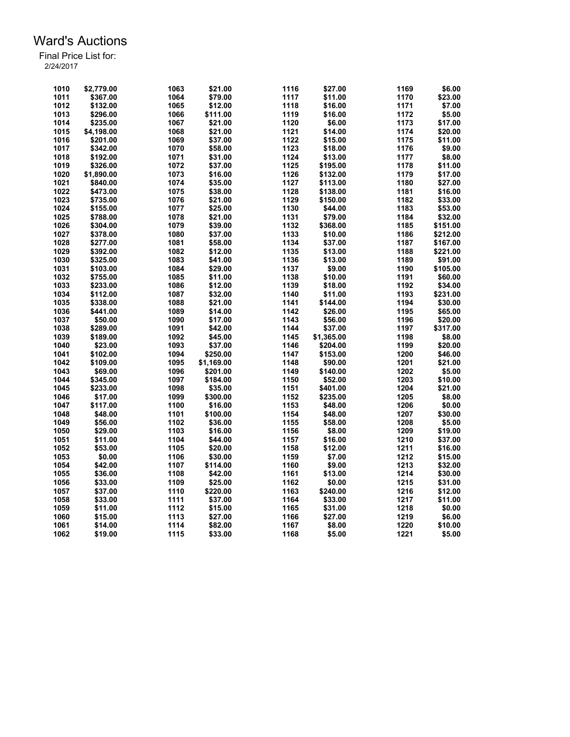| 1010 | \$2,779.00 | 1063         | \$21.00    | 1116 | \$27.00    | 1169 | \$6.00   |
|------|------------|--------------|------------|------|------------|------|----------|
| 1011 | \$367.00   | 1064         | \$79.00    | 1117 | \$11.00    | 1170 | \$23.00  |
| 1012 | \$132.00   | 1065         | \$12.00    | 1118 | \$16.00    | 1171 | \$7.00   |
| 1013 | \$296.00   | 1066         | \$111.00   | 1119 | \$16.00    | 1172 | \$5.00   |
| 1014 | \$235.00   | 1067         | \$21.00    | 1120 | \$6.00     | 1173 | \$17.00  |
| 1015 | \$4,198.00 | 1068         | \$21.00    | 1121 | \$14.00    | 1174 | \$20.00  |
| 1016 | \$201.00   | 1069         | \$37.00    | 1122 | \$15.00    | 1175 | \$11.00  |
| 1017 |            |              |            | 1123 |            | 1176 | \$9.00   |
|      | \$342.00   | 1070<br>1071 | \$58.00    | 1124 | \$18.00    |      |          |
| 1018 | \$192.00   |              | \$31.00    |      | \$13.00    | 1177 | \$8.00   |
| 1019 | \$326.00   | 1072         | \$37.00    | 1125 | \$195.00   | 1178 | \$11.00  |
| 1020 | \$1,890.00 | 1073         | \$16.00    | 1126 | \$132.00   | 1179 | \$17.00  |
| 1021 | \$840.00   | 1074         | \$35.00    | 1127 | \$113.00   | 1180 | \$27.00  |
| 1022 | \$473.00   | 1075         | \$38.00    | 1128 | \$138.00   | 1181 | \$16.00  |
| 1023 | \$735.00   | 1076         | \$21.00    | 1129 | \$150.00   | 1182 | \$33.00  |
| 1024 | \$155.00   | 1077         | \$25.00    | 1130 | \$44.00    | 1183 | \$53.00  |
| 1025 | \$788.00   | 1078         | \$21.00    | 1131 | \$79.00    | 1184 | \$32.00  |
| 1026 | \$304.00   | 1079         | \$39.00    | 1132 | \$368.00   | 1185 | \$151.00 |
| 1027 | \$378.00   | 1080         | \$37.00    | 1133 | \$10.00    | 1186 | \$212.00 |
| 1028 | \$277.00   | 1081         | \$58.00    | 1134 | \$37.00    | 1187 | \$167.00 |
| 1029 | \$392.00   | 1082         | \$12.00    | 1135 | \$13.00    | 1188 | \$221.00 |
| 1030 | \$325.00   | 1083         | \$41.00    | 1136 | \$13.00    | 1189 | \$91.00  |
| 1031 | \$103.00   | 1084         | \$29.00    | 1137 | \$9.00     | 1190 | \$105.00 |
| 1032 | \$755.00   | 1085         | \$11.00    | 1138 | \$10.00    | 1191 | \$60.00  |
| 1033 | \$233.00   | 1086         | \$12.00    | 1139 | \$18.00    | 1192 | \$34.00  |
| 1034 | \$112.00   | 1087         | \$32.00    | 1140 | \$11.00    | 1193 | \$231.00 |
| 1035 | \$338.00   | 1088         | \$21.00    | 1141 | \$144.00   | 1194 | \$30.00  |
| 1036 | \$441.00   | 1089         | \$14.00    | 1142 | \$26.00    | 1195 | \$65.00  |
| 1037 | \$50.00    | 1090         | \$17.00    | 1143 | \$56.00    | 1196 | \$20.00  |
| 1038 | \$289.00   | 1091         | \$42.00    | 1144 | \$37.00    | 1197 | \$317.00 |
| 1039 | \$189.00   | 1092         | \$45.00    | 1145 | \$1,365.00 | 1198 | \$8.00   |
| 1040 | \$23.00    | 1093         | \$37.00    | 1146 | \$204.00   | 1199 | \$20.00  |
| 1041 | \$102.00   | 1094         | \$250.00   | 1147 | \$153.00   | 1200 | \$46.00  |
| 1042 | \$109.00   | 1095         | \$1,169.00 | 1148 | \$90.00    | 1201 | \$21.00  |
|      |            |              |            |      |            |      |          |
| 1043 | \$69.00    | 1096         | \$201.00   | 1149 | \$140.00   | 1202 | \$5.00   |
| 1044 | \$345.00   | 1097         | \$184.00   | 1150 | \$52.00    | 1203 | \$10.00  |
| 1045 | \$233.00   | 1098         | \$35.00    | 1151 | \$401.00   | 1204 | \$21.00  |
| 1046 | \$17.00    | 1099         | \$300.00   | 1152 | \$235.00   | 1205 | \$8.00   |
| 1047 | \$117.00   | 1100         | \$16.00    | 1153 | \$48.00    | 1206 | \$0.00   |
| 1048 | \$48.00    | 1101         | \$100.00   | 1154 | \$48.00    | 1207 | \$30.00  |
| 1049 | \$56.00    | 1102         | \$36.00    | 1155 | \$58.00    | 1208 | \$5.00   |
| 1050 | \$29.00    | 1103         | \$16.00    | 1156 | \$8.00     | 1209 | \$19.00  |
| 1051 | \$11.00    | 1104         | \$44.00    | 1157 | \$16.00    | 1210 | \$37.00  |
| 1052 | \$53.00    | 1105         | \$20.00    | 1158 | \$12.00    | 1211 | \$16.00  |
| 1053 | \$0.00     | 1106         | \$30.00    | 1159 | \$7.00     | 1212 | \$15.00  |
| 1054 | \$42.00    | 1107         | \$114.00   | 1160 | \$9.00     | 1213 | \$32.00  |
| 1055 | \$36.00    | 1108         | \$42.00    | 1161 | \$13.00    | 1214 | \$30.00  |
| 1056 | \$33.00    | 1109         | \$25.00    | 1162 | \$0.00     | 1215 | \$31.00  |
| 1057 | \$37.00    | 1110         | \$220.00   | 1163 | \$240.00   | 1216 | \$12.00  |
| 1058 | \$33.00    | 1111         | \$37.00    | 1164 | \$33.00    | 1217 | \$11.00  |
| 1059 | \$11.00    | 1112         | \$15.00    | 1165 | \$31.00    | 1218 | \$0.00   |
| 1060 | \$15.00    | 1113         | \$27.00    | 1166 | \$27.00    | 1219 | \$6.00   |
| 1061 | \$14.00    | 1114         | \$82.00    | 1167 | \$8.00     | 1220 | \$10.00  |
| 1062 | \$19.00    | 1115         | \$33.00    | 1168 | \$5.00     | 1221 | \$5.00   |
|      |            |              |            |      |            |      |          |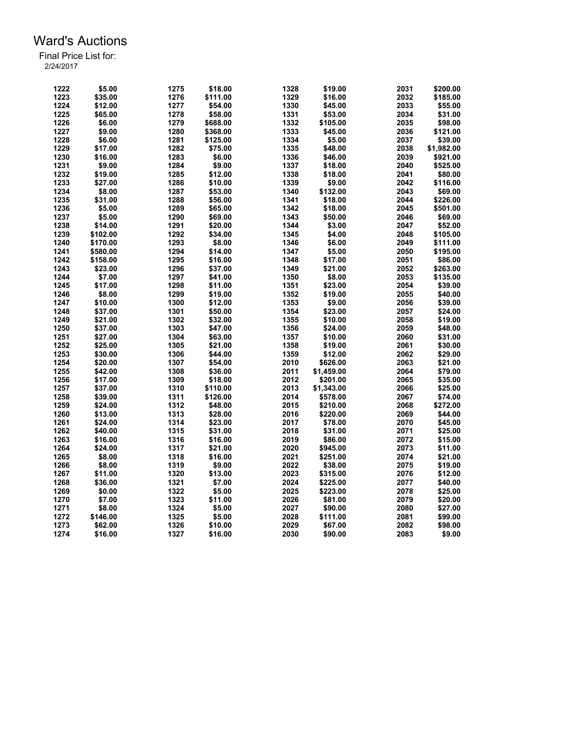| 1222 | \$5.00   | 1275 | \$18.00  | 1328 | \$19.00    | 2031 | \$200.00   |
|------|----------|------|----------|------|------------|------|------------|
| 1223 | \$35.00  | 1276 | \$111.00 | 1329 | \$16.00    | 2032 | \$185.00   |
| 1224 | \$12.00  | 1277 | \$54.00  | 1330 | \$45.00    | 2033 | \$55.00    |
| 1225 | \$65.00  | 1278 | \$58.00  | 1331 | \$53.00    | 2034 | \$31.00    |
| 1226 | \$6.00   | 1279 | \$688.00 | 1332 | \$105.00   | 2035 | \$98.00    |
| 1227 | \$9.00   | 1280 | \$368.00 | 1333 | \$45.00    | 2036 | \$121.00   |
| 1228 | \$6.00   | 1281 | \$125.00 | 1334 | \$5.00     | 2037 | \$39.00    |
| 1229 | \$17.00  | 1282 | \$75.00  | 1335 | \$48.00    | 2038 | \$1,982.00 |
| 1230 | \$16.00  | 1283 | \$6.00   | 1336 | \$46.00    | 2039 | \$921.00   |
|      |          |      | \$9.00   |      |            |      |            |
| 1231 | \$9.00   | 1284 |          | 1337 | \$18.00    | 2040 | \$525.00   |
| 1232 | \$19.00  | 1285 | \$12.00  | 1338 | \$18.00    | 2041 | \$80.00    |
| 1233 | \$27.00  | 1286 | \$10.00  | 1339 | \$9.00     | 2042 | \$116.00   |
| 1234 | \$8.00   | 1287 | \$53.00  | 1340 | \$132.00   | 2043 | \$69.00    |
| 1235 | \$31.00  | 1288 | \$56.00  | 1341 | \$18.00    | 2044 | \$226.00   |
| 1236 | \$5.00   | 1289 | \$65.00  | 1342 | \$18.00    | 2045 | \$501.00   |
| 1237 | \$5.00   | 1290 | \$69.00  | 1343 | \$50.00    | 2046 | \$69.00    |
| 1238 | \$14.00  | 1291 | \$20.00  | 1344 | \$3.00     | 2047 | \$52.00    |
| 1239 | \$102.00 | 1292 | \$34.00  | 1345 | \$4.00     | 2048 | \$105.00   |
| 1240 | \$170.00 | 1293 | \$8.00   | 1346 | \$6.00     | 2049 | \$111.00   |
| 1241 | \$580.00 | 1294 | \$14.00  | 1347 | \$5.00     | 2050 | \$195.00   |
| 1242 | \$158.00 | 1295 | \$16.00  | 1348 | \$17.00    | 2051 | \$86.00    |
| 1243 | \$23.00  | 1296 | \$37.00  | 1349 | \$21.00    | 2052 | \$263.00   |
| 1244 | \$7.00   | 1297 | \$41.00  | 1350 | \$8.00     | 2053 | \$135.00   |
| 1245 | \$17.00  | 1298 | \$11.00  | 1351 | \$23.00    | 2054 | \$39.00    |
| 1246 | \$8.00   | 1299 | \$19.00  | 1352 | \$19.00    | 2055 | \$40.00    |
| 1247 | \$10.00  | 1300 | \$12.00  | 1353 | \$9.00     | 2056 | \$39.00    |
| 1248 | \$37.00  | 1301 | \$50.00  | 1354 | \$23.00    | 2057 | \$24.00    |
| 1249 | \$21.00  | 1302 | \$32.00  | 1355 | \$10.00    | 2058 | \$19.00    |
| 1250 | \$37.00  | 1303 | \$47.00  | 1356 | \$24.00    | 2059 | \$48.00    |
| 1251 | \$27.00  | 1304 | \$63.00  | 1357 | \$10.00    | 2060 | \$31.00    |
| 1252 | \$25.00  | 1305 | \$21.00  | 1358 | \$19.00    | 2061 | \$30.00    |
| 1253 |          |      |          | 1359 |            | 2062 |            |
|      | \$30.00  | 1306 | \$44.00  |      | \$12.00    |      | \$29.00    |
| 1254 | \$20.00  | 1307 | \$54.00  | 2010 | \$626.00   | 2063 | \$21.00    |
| 1255 | \$42.00  | 1308 | \$36.00  | 2011 | \$1,459.00 | 2064 | \$79.00    |
| 1256 | \$17.00  | 1309 | \$18.00  | 2012 | \$201.00   | 2065 | \$35.00    |
| 1257 | \$37.00  | 1310 | \$110.00 | 2013 | \$1,343.00 | 2066 | \$25.00    |
| 1258 | \$39.00  | 1311 | \$126.00 | 2014 | \$578.00   | 2067 | \$74.00    |
| 1259 | \$24.00  | 1312 | \$48.00  | 2015 | \$210.00   | 2068 | \$272.00   |
| 1260 | \$13.00  | 1313 | \$28.00  | 2016 | \$220.00   | 2069 | \$44.00    |
| 1261 | \$24.00  | 1314 | \$23.00  | 2017 | \$78.00    | 2070 | \$45.00    |
| 1262 | \$40.00  | 1315 | \$31.00  | 2018 | \$31.00    | 2071 | \$25.00    |
| 1263 | \$16.00  | 1316 | \$16.00  | 2019 | \$86.00    | 2072 | \$15.00    |
| 1264 | \$24.00  | 1317 | \$21.00  | 2020 | \$945.00   | 2073 | \$11.00    |
| 1265 | \$8.00   | 1318 | \$16.00  | 2021 | \$251.00   | 2074 | \$21.00    |
| 1266 | \$8.00   | 1319 | \$9.00   | 2022 | \$38.00    | 2075 | \$19.00    |
| 1267 | \$11.00  | 1320 | \$13.00  | 2023 | \$315.00   | 2076 | \$12.00    |
| 1268 | \$36.00  | 1321 | \$7.00   | 2024 | \$225.00   | 2077 | \$40.00    |
| 1269 | \$0.00   | 1322 | \$5.00   | 2025 | \$223.00   | 2078 | \$25.00    |
| 1270 | \$7.00   | 1323 | \$11.00  | 2026 | \$81.00    | 2079 | \$20.00    |
| 1271 | \$8.00   | 1324 | \$5.00   | 2027 | \$90.00    | 2080 | \$27.00    |
| 1272 | \$146.00 | 1325 | \$5.00   | 2028 | \$111.00   | 2081 | \$99.00    |
| 1273 | \$62.00  | 1326 | \$10.00  | 2029 | \$67.00    | 2082 | \$98.00    |
| 1274 | \$16.00  | 1327 | \$16.00  | 2030 | \$90.00    | 2083 | \$9.00     |
|      |          |      |          |      |            |      |            |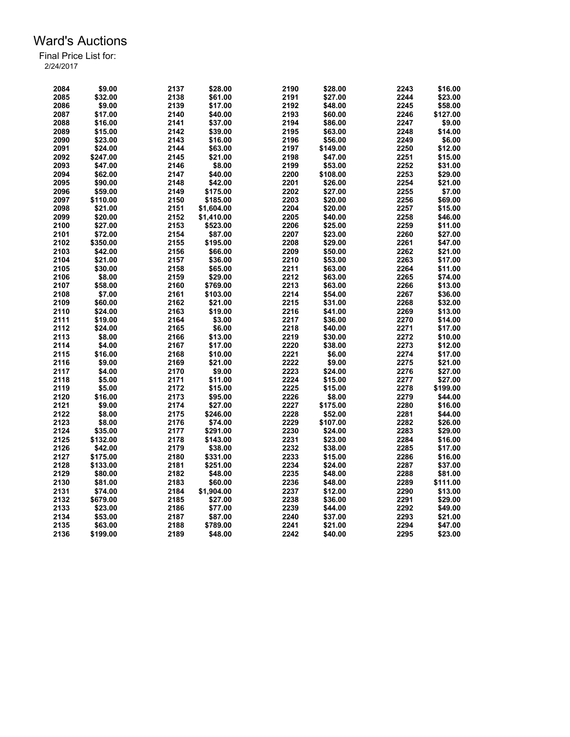| 2084 | \$9.00   | 2137 | \$28.00    | 2190 | \$28.00  | 2243 | \$16.00  |
|------|----------|------|------------|------|----------|------|----------|
| 2085 | \$32.00  | 2138 | \$61.00    | 2191 | \$27.00  | 2244 | \$23.00  |
| 2086 | \$9.00   | 2139 | \$17.00    | 2192 | \$48.00  | 2245 | \$58.00  |
| 2087 | \$17.00  | 2140 | \$40.00    | 2193 | \$60.00  | 2246 | \$127.00 |
| 2088 | \$16.00  | 2141 | \$37.00    | 2194 | \$86.00  | 2247 | \$9.00   |
| 2089 | \$15.00  | 2142 | \$39.00    | 2195 | \$63.00  | 2248 | \$14.00  |
| 2090 | \$23.00  | 2143 | \$16.00    | 2196 | \$56.00  | 2249 | \$6.00   |
| 2091 | \$24.00  | 2144 | \$63.00    | 2197 | \$149.00 | 2250 | \$12.00  |
| 2092 | \$247.00 | 2145 | \$21.00    | 2198 | \$47.00  | 2251 | \$15.00  |
| 2093 | \$47.00  | 2146 | \$8.00     | 2199 | \$53.00  | 2252 | \$31.00  |
| 2094 | \$62.00  | 2147 | \$40.00    | 2200 | \$108.00 | 2253 | \$29.00  |
| 2095 | \$90.00  | 2148 | \$42.00    | 2201 | \$26.00  | 2254 | \$21.00  |
| 2096 | \$59.00  | 2149 | \$175.00   | 2202 | \$27.00  | 2255 | \$7.00   |
| 2097 | \$110.00 | 2150 | \$185.00   | 2203 | \$20.00  | 2256 | \$69.00  |
| 2098 | \$21.00  | 2151 | \$1,604.00 | 2204 | \$20.00  | 2257 | \$15.00  |
| 2099 | \$20.00  | 2152 | \$1,410.00 | 2205 | \$40.00  | 2258 | \$46.00  |
| 2100 | \$27.00  | 2153 | \$523.00   | 2206 | \$25.00  | 2259 | \$11.00  |
| 2101 | \$72.00  | 2154 | \$87.00    | 2207 | \$23.00  | 2260 | \$27.00  |
| 2102 | \$350.00 | 2155 | \$195.00   | 2208 | \$29.00  | 2261 | \$47.00  |
| 2103 | \$42.00  | 2156 | \$66.00    | 2209 | \$50.00  | 2262 | \$21.00  |
| 2104 | \$21.00  | 2157 | \$36.00    | 2210 | \$53.00  | 2263 | \$17.00  |
| 2105 | \$30.00  | 2158 | \$65.00    | 2211 | \$63.00  | 2264 | \$11.00  |
| 2106 | \$8.00   | 2159 |            | 2212 |          | 2265 |          |
|      |          |      | \$29.00    |      | \$63.00  |      | \$74.00  |
| 2107 | \$58.00  | 2160 | \$769.00   | 2213 | \$63.00  | 2266 | \$13.00  |
| 2108 | \$7.00   | 2161 | \$103.00   | 2214 | \$54.00  | 2267 | \$36.00  |
| 2109 | \$60.00  | 2162 | \$21.00    | 2215 | \$31.00  | 2268 | \$32.00  |
| 2110 | \$24.00  | 2163 | \$19.00    | 2216 | \$41.00  | 2269 | \$13.00  |
| 2111 | \$19.00  | 2164 | \$3.00     | 2217 | \$36.00  | 2270 | \$14.00  |
| 2112 | \$24.00  | 2165 | \$6.00     | 2218 | \$40.00  | 2271 | \$17.00  |
| 2113 | \$8.00   | 2166 | \$13.00    | 2219 | \$30.00  | 2272 | \$10.00  |
| 2114 | \$4.00   | 2167 | \$17.00    | 2220 | \$38.00  | 2273 | \$12.00  |
| 2115 | \$16.00  | 2168 | \$10.00    | 2221 | \$6.00   | 2274 | \$17.00  |
| 2116 | \$9.00   | 2169 | \$21.00    | 2222 | \$9.00   | 2275 | \$21.00  |
| 2117 | \$4.00   | 2170 | \$9.00     | 2223 | \$24.00  | 2276 | \$27.00  |
| 2118 | \$5.00   | 2171 | \$11.00    | 2224 | \$15.00  | 2277 | \$27.00  |
| 2119 | \$5.00   | 2172 | \$15.00    | 2225 | \$15.00  | 2278 | \$199.00 |
| 2120 | \$16.00  | 2173 | \$95.00    | 2226 | \$8.00   | 2279 | \$44.00  |
| 2121 | \$9.00   | 2174 | \$27.00    | 2227 | \$175.00 | 2280 | \$16.00  |
| 2122 | \$8.00   | 2175 | \$246.00   | 2228 | \$52.00  | 2281 | \$44.00  |
| 2123 | \$8.00   | 2176 | \$74.00    | 2229 | \$107.00 | 2282 | \$26.00  |
| 2124 | \$35.00  | 2177 | \$291.00   | 2230 | \$24.00  | 2283 | \$29.00  |
| 2125 | \$132.00 | 2178 | \$143.00   | 2231 | \$23.00  | 2284 | \$16.00  |
| 2126 | \$42.00  | 2179 | \$38.00    | 2232 | \$38.00  | 2285 | \$17.00  |
| 2127 | \$175.00 | 2180 | \$331.00   | 2233 | \$15.00  | 2286 | \$16.00  |
| 2128 | \$133.00 | 2181 | \$251.00   | 2234 | \$24.00  | 2287 | \$37.00  |
| 2129 | \$80.00  | 2182 | \$48.00    | 2235 | \$48.00  | 2288 | \$81.00  |
| 2130 | \$81.00  | 2183 | \$60.00    | 2236 | \$48.00  | 2289 | \$111.00 |
| 2131 | \$74.00  | 2184 | \$1,904.00 | 2237 | \$12.00  | 2290 | \$13.00  |
| 2132 | \$679.00 | 2185 | \$27.00    | 2238 | \$36.00  | 2291 | \$29.00  |
| 2133 |          |      |            | 2239 |          | 2292 |          |
|      | \$23.00  | 2186 | \$77.00    |      | \$44.00  |      | \$49.00  |
| 2134 | \$53.00  | 2187 | \$87.00    | 2240 | \$37.00  | 2293 | \$21.00  |
| 2135 | \$63.00  | 2188 | \$789.00   | 2241 | \$21.00  | 2294 | \$47.00  |
| 2136 | \$199.00 | 2189 | \$48.00    | 2242 | \$40.00  | 2295 | \$23.00  |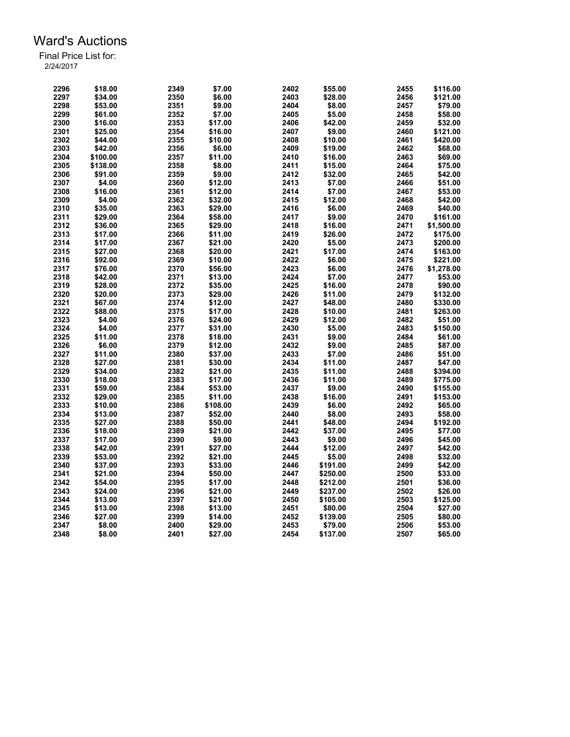| 2296 | \$18.00  | 2349 | \$7.00   | 2402 | \$55.00  | 2455 | \$116.00   |
|------|----------|------|----------|------|----------|------|------------|
| 2297 | \$34.00  | 2350 | \$6.00   | 2403 | \$28.00  | 2456 | \$121.00   |
| 2298 | \$53.00  | 2351 | \$9.00   | 2404 | \$8.00   | 2457 | \$79.00    |
| 2299 | \$61.00  | 2352 | \$7.00   | 2405 | \$5.00   | 2458 | \$58.00    |
| 2300 | \$16.00  | 2353 | \$17.00  | 2406 | \$42.00  | 2459 | \$32.00    |
| 2301 | \$25.00  | 2354 | \$16.00  | 2407 | \$9.00   | 2460 | \$121.00   |
| 2302 | \$44.00  | 2355 | \$10.00  | 2408 | \$10.00  | 2461 | \$420.00   |
| 2303 | \$42.00  | 2356 | \$6.00   | 2409 | \$19.00  | 2462 | \$68.00    |
| 2304 | \$100.00 | 2357 | \$11.00  | 2410 | \$16.00  | 2463 | \$69.00    |
| 2305 | \$138.00 | 2358 | \$8.00   | 2411 | \$15.00  | 2464 | \$75.00    |
| 2306 | \$91.00  | 2359 | \$9.00   | 2412 | \$32.00  | 2465 | \$42.00    |
| 2307 | \$4.00   | 2360 | \$12.00  | 2413 | \$7.00   | 2466 | \$51.00    |
| 2308 | \$16.00  | 2361 | \$12.00  | 2414 | \$7.00   | 2467 | \$53.00    |
| 2309 | \$4.00   | 2362 | \$32.00  | 2415 | \$12.00  | 2468 | \$42.00    |
| 2310 | \$35.00  | 2363 | \$29.00  | 2416 | \$6.00   | 2469 | \$40.00    |
| 2311 | \$29.00  | 2364 | \$58.00  | 2417 | \$9.00   | 2470 | \$161.00   |
| 2312 | \$36.00  | 2365 | \$29.00  | 2418 | \$16.00  | 2471 | \$1,500.00 |
| 2313 | \$17.00  | 2366 | \$11.00  | 2419 | \$26.00  | 2472 | \$175.00   |
|      |          |      |          |      |          |      |            |
| 2314 | \$17.00  | 2367 | \$21.00  | 2420 | \$5.00   | 2473 | \$200.00   |
| 2315 | \$27.00  | 2368 | \$20.00  | 2421 | \$17.00  | 2474 | \$163.00   |
| 2316 | \$92.00  | 2369 | \$10.00  | 2422 | \$6.00   | 2475 | \$221.00   |
| 2317 | \$76.00  | 2370 | \$56.00  | 2423 | \$6.00   | 2476 | \$1,278.00 |
| 2318 | \$42.00  | 2371 | \$13.00  | 2424 | \$7.00   | 2477 | \$53.00    |
| 2319 | \$28.00  | 2372 | \$35.00  | 2425 | \$16.00  | 2478 | \$90.00    |
| 2320 | \$20.00  | 2373 | \$29.00  | 2426 | \$11.00  | 2479 | \$132.00   |
| 2321 | \$67.00  | 2374 | \$12.00  | 2427 | \$48.00  | 2480 | \$330.00   |
| 2322 | \$88.00  | 2375 | \$17.00  | 2428 | \$10.00  | 2481 | \$263.00   |
| 2323 | \$4.00   | 2376 | \$24.00  | 2429 | \$12.00  | 2482 | \$51.00    |
| 2324 | \$4.00   | 2377 | \$31.00  | 2430 | \$5.00   | 2483 | \$150.00   |
| 2325 | \$11.00  | 2378 | \$18.00  | 2431 | \$9.00   | 2484 | \$61.00    |
| 2326 | \$6.00   | 2379 | \$12.00  | 2432 | \$9.00   | 2485 | \$87.00    |
| 2327 | \$11.00  | 2380 | \$37.00  | 2433 | \$7.00   | 2486 | \$51.00    |
| 2328 | \$27.00  | 2381 | \$30.00  | 2434 | \$11.00  | 2487 | \$47.00    |
| 2329 | \$34.00  | 2382 | \$21.00  | 2435 | \$11.00  | 2488 | \$394.00   |
| 2330 | \$18.00  | 2383 | \$17.00  | 2436 | \$11.00  | 2489 | \$775.00   |
| 2331 | \$59.00  | 2384 | \$53.00  | 2437 | \$9.00   | 2490 | \$155.00   |
| 2332 | \$29.00  | 2385 | \$11.00  | 2438 | \$16.00  | 2491 | \$153.00   |
| 2333 | \$10.00  | 2386 | \$108.00 | 2439 | \$6.00   | 2492 | \$65.00    |
| 2334 | \$13.00  | 2387 | \$52.00  | 2440 | \$8.00   | 2493 | \$58.00    |
| 2335 | \$27.00  | 2388 | \$50.00  | 2441 | \$48.00  | 2494 | \$192.00   |
| 2336 | \$18.00  | 2389 | \$21.00  | 2442 | \$37.00  | 2495 | \$77.00    |
| 2337 | \$17.00  | 2390 | \$9.00   | 2443 | \$9.00   | 2496 | \$45.00    |
| 2338 | \$42.00  | 2391 | \$27.00  | 2444 | \$12.00  | 2497 | \$42.00    |
| 2339 | \$53.00  | 2392 | \$21.00  | 2445 | \$5.00   | 2498 | \$32.00    |
| 2340 | \$37.00  | 2393 | \$33.00  | 2446 | \$191.00 | 2499 | \$42.00    |
| 2341 | \$21.00  | 2394 | \$50.00  | 2447 | \$250.00 | 2500 | \$33.00    |
| 2342 | \$54.00  | 2395 | \$17.00  | 2448 | \$212.00 | 2501 | \$36.00    |
| 2343 | \$24.00  | 2396 | \$21.00  | 2449 | \$237.00 | 2502 | \$26.00    |
| 2344 | \$13.00  | 2397 | \$21.00  | 2450 | \$105.00 | 2503 | \$125.00   |
| 2345 | \$13.00  | 2398 | \$13.00  | 2451 | \$80.00  | 2504 | \$27.00    |
|      |          |      |          |      |          |      |            |
| 2346 | \$27.00  | 2399 | \$14.00  | 2452 | \$139.00 | 2505 | \$80.00    |
| 2347 | \$8.00   | 2400 | \$29.00  | 2453 | \$79.00  | 2506 | \$53.00    |
| 2348 | \$8.00   | 2401 | \$27.00  | 2454 | \$137.00 | 2507 | \$65.00    |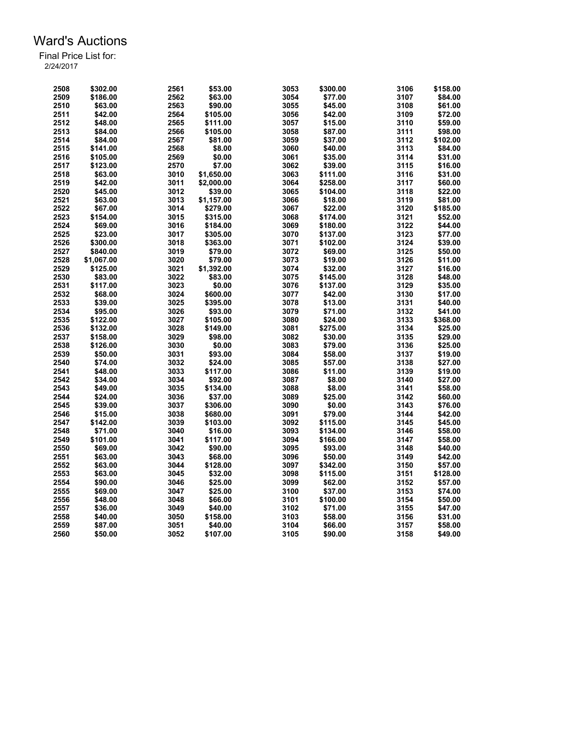| 2508 | \$302.00   | 2561 | \$53.00    | 3053 | \$300.00 | 3106 | \$158.00 |
|------|------------|------|------------|------|----------|------|----------|
| 2509 | \$186.00   | 2562 | \$63.00    | 3054 | \$77.00  | 3107 | \$84.00  |
| 2510 | \$63.00    | 2563 | \$90.00    | 3055 | \$45.00  | 3108 | \$61.00  |
| 2511 | \$42.00    | 2564 | \$105.00   | 3056 | \$42.00  | 3109 | \$72.00  |
| 2512 | \$48.00    | 2565 | \$111.00   | 3057 | \$15.00  | 3110 | \$59.00  |
| 2513 | \$84.00    | 2566 | \$105.00   | 3058 | \$87.00  | 3111 | \$98.00  |
| 2514 | \$84.00    | 2567 | \$81.00    | 3059 | \$37.00  | 3112 | \$102.00 |
| 2515 | \$141.00   | 2568 | \$8.00     | 3060 | \$40.00  | 3113 | \$84.00  |
| 2516 | \$105.00   | 2569 | \$0.00     | 3061 | \$35.00  | 3114 | \$31.00  |
| 2517 | \$123.00   | 2570 | \$7.00     | 3062 | \$39.00  | 3115 | \$16.00  |
| 2518 | \$63.00    | 3010 | \$1,650.00 | 3063 | \$111.00 | 3116 | \$31.00  |
| 2519 | \$42.00    | 3011 | \$2,000.00 | 3064 | \$258.00 | 3117 | \$60.00  |
| 2520 | \$45.00    | 3012 | \$39.00    | 3065 | \$104.00 | 3118 | \$22.00  |
| 2521 | \$63.00    | 3013 | \$1,157.00 | 3066 | \$18.00  | 3119 | \$81.00  |
| 2522 | \$67.00    | 3014 | \$279.00   | 3067 | \$22.00  | 3120 | \$185.00 |
| 2523 | \$154.00   | 3015 | \$315.00   | 3068 | \$174.00 | 3121 | \$52.00  |
| 2524 | \$69.00    | 3016 | \$184.00   | 3069 | \$180.00 | 3122 | \$44.00  |
| 2525 | \$23.00    | 3017 | \$305.00   | 3070 | \$137.00 | 3123 | \$77.00  |
| 2526 | \$300.00   | 3018 | \$363.00   | 3071 | \$102.00 | 3124 | \$39.00  |
| 2527 | \$840.00   | 3019 | \$79.00    | 3072 | \$69.00  | 3125 | \$50.00  |
| 2528 | \$1,067.00 | 3020 | \$79.00    | 3073 | \$19.00  | 3126 | \$11.00  |
| 2529 | \$125.00   | 3021 | \$1,392.00 | 3074 | \$32.00  | 3127 | \$16.00  |
| 2530 | \$83.00    | 3022 | \$83.00    | 3075 | \$145.00 | 3128 | \$48.00  |
| 2531 | \$117.00   | 3023 | \$0.00     | 3076 | \$137.00 | 3129 | \$35.00  |
| 2532 | \$68.00    | 3024 | \$600.00   | 3077 | \$42.00  | 3130 | \$17.00  |
| 2533 | \$39.00    | 3025 | \$395.00   | 3078 | \$13.00  | 3131 | \$40.00  |
| 2534 | \$95.00    | 3026 | \$93.00    | 3079 | \$71.00  | 3132 | \$41.00  |
| 2535 | \$122.00   | 3027 | \$105.00   | 3080 | \$24.00  | 3133 | \$368.00 |
| 2536 | \$132.00   | 3028 | \$149.00   | 3081 | \$275.00 | 3134 | \$25.00  |
| 2537 | \$158.00   | 3029 | \$98.00    | 3082 | \$30.00  | 3135 | \$29.00  |
| 2538 | \$126.00   | 3030 | \$0.00     | 3083 | \$79.00  | 3136 | \$25.00  |
| 2539 | \$50.00    | 3031 | \$93.00    | 3084 | \$58.00  | 3137 | \$19.00  |
| 2540 | \$74.00    | 3032 | \$24.00    | 3085 | \$57.00  | 3138 | \$27.00  |
| 2541 | \$48.00    | 3033 | \$117.00   | 3086 | \$11.00  | 3139 | \$19.00  |
| 2542 | \$34.00    | 3034 | \$92.00    | 3087 | \$8.00   | 3140 | \$27.00  |
| 2543 | \$49.00    | 3035 | \$134.00   | 3088 | \$8.00   | 3141 | \$58.00  |
| 2544 | \$24.00    | 3036 | \$37.00    | 3089 | \$25.00  | 3142 | \$60.00  |
| 2545 | \$39.00    | 3037 | \$306.00   | 3090 | \$0.00   | 3143 | \$76.00  |
| 2546 | \$15.00    | 3038 | \$680.00   | 3091 | \$79.00  | 3144 | \$42.00  |
| 2547 | \$142.00   | 3039 | \$103.00   | 3092 | \$115.00 | 3145 | \$45.00  |
| 2548 | \$71.00    | 3040 | \$16.00    | 3093 | \$134.00 | 3146 | \$58.00  |
| 2549 | \$101.00   | 3041 | \$117.00   | 3094 | \$166.00 | 3147 | \$58.00  |
| 2550 | \$69.00    | 3042 | \$90.00    | 3095 | \$93.00  | 3148 | \$40.00  |
| 2551 | \$63.00    | 3043 | \$68.00    | 3096 | \$50.00  | 3149 | \$42.00  |
| 2552 | \$63.00    | 3044 | \$128.00   | 3097 | \$342.00 | 3150 | \$57.00  |
| 2553 | \$63.00    | 3045 | \$32.00    | 3098 | \$115.00 | 3151 | \$128.00 |
| 2554 | \$90.00    | 3046 | \$25.00    | 3099 | \$62.00  | 3152 | \$57.00  |
| 2555 | \$69.00    | 3047 | \$25.00    | 3100 | \$37.00  | 3153 | \$74.00  |
| 2556 | \$48.00    | 3048 | \$66.00    | 3101 | \$100.00 | 3154 | \$50.00  |
| 2557 | \$36.00    | 3049 | \$40.00    | 3102 | \$71.00  | 3155 | \$47.00  |
| 2558 | \$40.00    | 3050 | \$158.00   | 3103 | \$58.00  | 3156 | \$31.00  |
| 2559 | \$87.00    | 3051 | \$40.00    | 3104 | \$66.00  | 3157 | \$58.00  |
| 2560 | \$50.00    | 3052 | \$107.00   | 3105 | \$90.00  | 3158 | \$49.00  |
|      |            |      |            |      |          |      |          |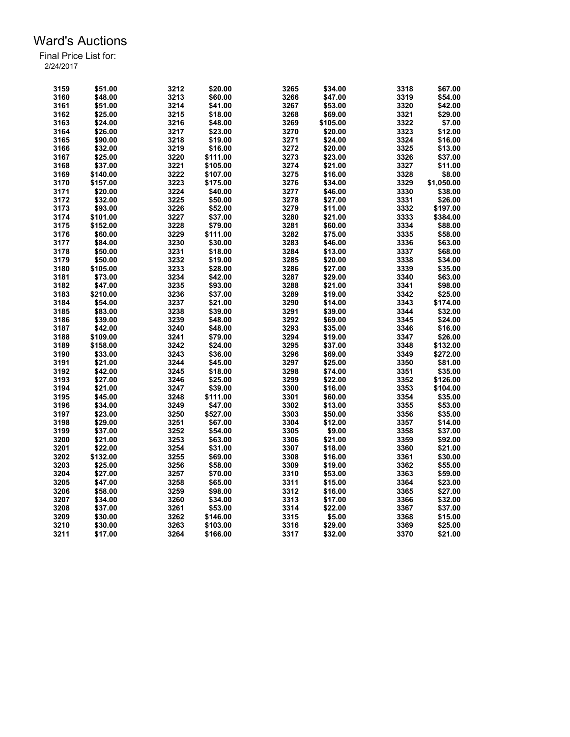| 3159 | \$51.00  | 3212 | \$20.00  | 3265 | \$34.00  | 3318 | \$67.00    |
|------|----------|------|----------|------|----------|------|------------|
| 3160 | \$48.00  | 3213 | \$60.00  | 3266 | \$47.00  | 3319 | \$54.00    |
| 3161 | \$51.00  | 3214 | \$41.00  | 3267 | \$53.00  | 3320 | \$42.00    |
| 3162 | \$25.00  | 3215 | \$18.00  | 3268 | \$69.00  | 3321 | \$29.00    |
| 3163 | \$24.00  | 3216 | \$48.00  | 3269 | \$105.00 | 3322 | \$7.00     |
| 3164 | \$26.00  | 3217 | \$23.00  | 3270 | \$20.00  | 3323 | \$12.00    |
| 3165 | \$90.00  | 3218 | \$19.00  | 3271 | \$24.00  | 3324 | \$16.00    |
| 3166 | \$32.00  | 3219 | \$16.00  | 3272 | \$20.00  | 3325 | \$13.00    |
| 3167 | \$25.00  | 3220 | \$111.00 | 3273 | \$23.00  | 3326 | \$37.00    |
| 3168 | \$37.00  | 3221 | \$105.00 | 3274 | \$21.00  | 3327 | \$11.00    |
| 3169 | \$140.00 | 3222 | \$107.00 | 3275 | \$16.00  | 3328 | \$8.00     |
| 3170 | \$157.00 | 3223 | \$175.00 | 3276 | \$34.00  | 3329 | \$1,050.00 |
| 3171 | \$20.00  | 3224 | \$40.00  | 3277 | \$46.00  | 3330 | \$38.00    |
| 3172 | \$32.00  | 3225 | \$50.00  | 3278 | \$27.00  | 3331 | \$26.00    |
| 3173 | \$93.00  | 3226 | \$52.00  | 3279 | \$11.00  | 3332 | \$197.00   |
| 3174 | \$101.00 | 3227 | \$37.00  | 3280 | \$21.00  | 3333 | \$384.00   |
| 3175 | \$152.00 | 3228 | \$79.00  | 3281 | \$60.00  | 3334 | \$88.00    |
| 3176 | \$60.00  | 3229 | \$111.00 | 3282 | \$75.00  | 3335 | \$58.00    |
|      | \$84.00  | 3230 | \$30.00  | 3283 | \$46.00  | 3336 | \$63.00    |
| 3177 | \$50.00  | 3231 |          | 3284 |          | 3337 |            |
| 3178 |          |      | \$18.00  |      | \$13.00  |      | \$68.00    |
| 3179 | \$50.00  | 3232 | \$19.00  | 3285 | \$20.00  | 3338 | \$34.00    |
| 3180 | \$105.00 | 3233 | \$28.00  | 3286 | \$27.00  | 3339 | \$35.00    |
| 3181 | \$73.00  | 3234 | \$42.00  | 3287 | \$29.00  | 3340 | \$63.00    |
| 3182 | \$47.00  | 3235 | \$93.00  | 3288 | \$21.00  | 3341 | \$98.00    |
| 3183 | \$210.00 | 3236 | \$37.00  | 3289 | \$19.00  | 3342 | \$25.00    |
| 3184 | \$54.00  | 3237 | \$21.00  | 3290 | \$14.00  | 3343 | \$174.00   |
| 3185 | \$83.00  | 3238 | \$39.00  | 3291 | \$39.00  | 3344 | \$32.00    |
| 3186 | \$39.00  | 3239 | \$48.00  | 3292 | \$69.00  | 3345 | \$24.00    |
| 3187 | \$42.00  | 3240 | \$48.00  | 3293 | \$35.00  | 3346 | \$16.00    |
| 3188 | \$109.00 | 3241 | \$79.00  | 3294 | \$19.00  | 3347 | \$26.00    |
| 3189 | \$158.00 | 3242 | \$24.00  | 3295 | \$37.00  | 3348 | \$132.00   |
| 3190 | \$33.00  | 3243 | \$36.00  | 3296 | \$69.00  | 3349 | \$272.00   |
| 3191 | \$21.00  | 3244 | \$45.00  | 3297 | \$25.00  | 3350 | \$81.00    |
| 3192 | \$42.00  | 3245 | \$18.00  | 3298 | \$74.00  | 3351 | \$35.00    |
| 3193 | \$27.00  | 3246 | \$25.00  | 3299 | \$22.00  | 3352 | \$126.00   |
| 3194 | \$21.00  | 3247 | \$39.00  | 3300 | \$16.00  | 3353 | \$104.00   |
| 3195 | \$45.00  | 3248 | \$111.00 | 3301 | \$60.00  | 3354 | \$35.00    |
| 3196 | \$34.00  | 3249 | \$47.00  | 3302 | \$13.00  | 3355 | \$53.00    |
| 3197 | \$23.00  | 3250 | \$527.00 | 3303 | \$50.00  | 3356 | \$35.00    |
| 3198 | \$29.00  | 3251 | \$67.00  | 3304 | \$12.00  | 3357 | \$14.00    |
| 3199 | \$37.00  | 3252 | \$54.00  | 3305 | \$9.00   | 3358 | \$37.00    |
| 3200 | \$21.00  | 3253 | \$63.00  | 3306 | \$21.00  | 3359 | \$92.00    |
| 3201 | \$22.00  | 3254 | \$31.00  | 3307 | \$18.00  | 3360 | \$21.00    |
| 3202 | \$132.00 | 3255 | \$69.00  | 3308 | \$16.00  | 3361 | \$30.00    |
| 3203 | \$25.00  | 3256 | \$58.00  | 3309 | \$19.00  | 3362 | \$55.00    |
| 3204 | \$27.00  | 3257 | \$70.00  | 3310 | \$53.00  | 3363 | \$59.00    |
| 3205 | \$47.00  | 3258 | \$65.00  | 3311 | \$15.00  | 3364 | \$23.00    |
| 3206 | \$58.00  | 3259 | \$98.00  | 3312 | \$16.00  | 3365 | \$27.00    |
| 3207 | \$34.00  | 3260 | \$34.00  | 3313 | \$17.00  | 3366 | \$32.00    |
| 3208 | \$37.00  | 3261 | \$53.00  | 3314 | \$22.00  | 3367 | \$37.00    |
| 3209 | \$30.00  | 3262 | \$146.00 | 3315 | \$5.00   | 3368 | \$15.00    |
| 3210 | \$30.00  | 3263 | \$103.00 | 3316 | \$29.00  | 3369 | \$25.00    |
| 3211 | \$17.00  | 3264 | \$166.00 | 3317 | \$32.00  | 3370 | \$21.00    |
|      |          |      |          |      |          |      |            |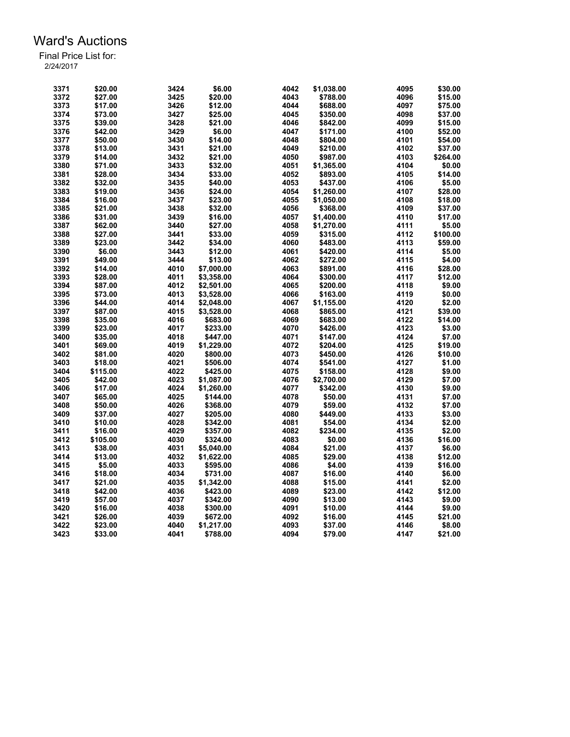| \$6.00<br>3371<br>\$20.00<br>3424<br>\$1,038.00<br>4095<br>4043<br>3372<br>\$27.00<br>3425<br>\$20.00<br>\$788.00<br>4096<br>3373<br>\$17.00<br>3426<br>\$12.00<br>4044<br>\$688.00<br>4097<br>3374<br>3427<br>4045<br>4098<br>\$73.00<br>\$25.00<br>\$350.00<br>3375<br>\$39.00<br>3428<br>\$21.00<br>4046<br>4099<br>\$842.00<br>3376<br>\$42.00<br>3429<br>\$6.00<br>4047<br>\$171.00<br>4100<br>3430<br>4101<br>3377<br>\$50.00<br>\$14.00<br>4048<br>\$804.00<br>3378<br>\$21.00<br>\$13.00<br>3431<br>4049<br>\$210.00<br>4102<br>3379<br>3432<br>4050<br>4103<br>\$14.00<br>\$21.00<br>\$987.00<br>3380<br>\$71.00<br>3433<br>\$32.00<br>4051<br>4104<br>\$1,365.00<br>3381<br>\$28.00<br>3434<br>\$33.00<br>4052<br>4105<br>\$893.00<br>3382<br>\$32.00<br>3435<br>\$40.00<br>4053<br>\$437.00<br>4106<br>3383<br>\$19.00<br>3436<br>\$24.00<br>4054<br>\$1,260.00<br>4107<br>3384<br>3437<br>4055<br>4108<br>\$16.00<br>\$23.00<br>\$1,050.00<br>3385<br>3438<br>4056<br>4109<br>\$21.00<br>\$32.00<br>\$368.00<br>3386<br>\$31.00<br>3439<br>\$16.00<br>4057<br>4110<br>\$1,400.00<br>3387<br>\$62.00<br>3440<br>4111<br>\$27.00<br>4058<br>\$1,270.00<br>3388<br>4059<br>4112<br>\$27.00<br>3441<br>\$33.00<br>\$315.00<br>4113<br>3389<br>\$23.00<br>3442<br>\$34.00<br>4060<br>\$483.00<br>3390<br>\$6.00<br>3443<br>4061<br>4114<br>\$12.00<br>\$420.00<br>4062<br>3391<br>\$49.00<br>3444<br>\$13.00<br>\$272.00<br>4115<br>3392<br>\$14.00<br>4010<br>\$7,000.00<br>4063<br>4116<br>\$891.00<br>3393<br>\$28.00<br>4011<br>\$3,358.00<br>4064<br>\$300.00<br>4117<br>4012<br>4118<br>3394<br>\$87.00<br>4065<br>\$200.00<br>\$2,501.00<br>3395<br>\$73.00<br>4013<br>4066<br>\$163.00<br>4119<br>\$3,528.00<br>3396<br>\$44.00<br>4014<br>4067<br>4120<br>\$2,048.00<br>\$1,155.00<br>3397<br>\$87.00<br>4015<br>\$3,528.00<br>4068<br>\$865.00<br>4121<br>3398<br>\$35.00<br>4016<br>\$683.00<br>4069<br>4122<br>\$683.00<br>3399<br>4017<br>4070<br>4123<br>\$23.00<br>\$233.00<br>\$426.00<br>3400<br>4018<br>4071<br>4124<br>\$35.00<br>\$447.00<br>\$147.00 | \$30.00<br>\$15.00<br>\$75.00<br>\$37.00<br>\$15.00<br>\$52.00<br>\$54.00<br>\$37.00<br>\$264.00<br>\$0.00<br>\$14.00<br>\$5.00<br>\$28.00<br>\$18.00<br>\$37.00<br>\$17.00<br>\$5.00<br>\$100.00<br>\$59.00<br>\$5.00<br>\$4.00 |
|----------------------------------------------------------------------------------------------------------------------------------------------------------------------------------------------------------------------------------------------------------------------------------------------------------------------------------------------------------------------------------------------------------------------------------------------------------------------------------------------------------------------------------------------------------------------------------------------------------------------------------------------------------------------------------------------------------------------------------------------------------------------------------------------------------------------------------------------------------------------------------------------------------------------------------------------------------------------------------------------------------------------------------------------------------------------------------------------------------------------------------------------------------------------------------------------------------------------------------------------------------------------------------------------------------------------------------------------------------------------------------------------------------------------------------------------------------------------------------------------------------------------------------------------------------------------------------------------------------------------------------------------------------------------------------------------------------------------------------------------------------------------------------------------------------------------------------------------------------------------------------------------------------------------------------------------------------------------------------------------------------------------------------------------------------------------------------|----------------------------------------------------------------------------------------------------------------------------------------------------------------------------------------------------------------------------------|
|                                                                                                                                                                                                                                                                                                                                                                                                                                                                                                                                                                                                                                                                                                                                                                                                                                                                                                                                                                                                                                                                                                                                                                                                                                                                                                                                                                                                                                                                                                                                                                                                                                                                                                                                                                                                                                                                                                                                                                                                                                                                                  |                                                                                                                                                                                                                                  |
|                                                                                                                                                                                                                                                                                                                                                                                                                                                                                                                                                                                                                                                                                                                                                                                                                                                                                                                                                                                                                                                                                                                                                                                                                                                                                                                                                                                                                                                                                                                                                                                                                                                                                                                                                                                                                                                                                                                                                                                                                                                                                  |                                                                                                                                                                                                                                  |
|                                                                                                                                                                                                                                                                                                                                                                                                                                                                                                                                                                                                                                                                                                                                                                                                                                                                                                                                                                                                                                                                                                                                                                                                                                                                                                                                                                                                                                                                                                                                                                                                                                                                                                                                                                                                                                                                                                                                                                                                                                                                                  |                                                                                                                                                                                                                                  |
|                                                                                                                                                                                                                                                                                                                                                                                                                                                                                                                                                                                                                                                                                                                                                                                                                                                                                                                                                                                                                                                                                                                                                                                                                                                                                                                                                                                                                                                                                                                                                                                                                                                                                                                                                                                                                                                                                                                                                                                                                                                                                  |                                                                                                                                                                                                                                  |
|                                                                                                                                                                                                                                                                                                                                                                                                                                                                                                                                                                                                                                                                                                                                                                                                                                                                                                                                                                                                                                                                                                                                                                                                                                                                                                                                                                                                                                                                                                                                                                                                                                                                                                                                                                                                                                                                                                                                                                                                                                                                                  |                                                                                                                                                                                                                                  |
|                                                                                                                                                                                                                                                                                                                                                                                                                                                                                                                                                                                                                                                                                                                                                                                                                                                                                                                                                                                                                                                                                                                                                                                                                                                                                                                                                                                                                                                                                                                                                                                                                                                                                                                                                                                                                                                                                                                                                                                                                                                                                  |                                                                                                                                                                                                                                  |
|                                                                                                                                                                                                                                                                                                                                                                                                                                                                                                                                                                                                                                                                                                                                                                                                                                                                                                                                                                                                                                                                                                                                                                                                                                                                                                                                                                                                                                                                                                                                                                                                                                                                                                                                                                                                                                                                                                                                                                                                                                                                                  |                                                                                                                                                                                                                                  |
|                                                                                                                                                                                                                                                                                                                                                                                                                                                                                                                                                                                                                                                                                                                                                                                                                                                                                                                                                                                                                                                                                                                                                                                                                                                                                                                                                                                                                                                                                                                                                                                                                                                                                                                                                                                                                                                                                                                                                                                                                                                                                  |                                                                                                                                                                                                                                  |
|                                                                                                                                                                                                                                                                                                                                                                                                                                                                                                                                                                                                                                                                                                                                                                                                                                                                                                                                                                                                                                                                                                                                                                                                                                                                                                                                                                                                                                                                                                                                                                                                                                                                                                                                                                                                                                                                                                                                                                                                                                                                                  |                                                                                                                                                                                                                                  |
|                                                                                                                                                                                                                                                                                                                                                                                                                                                                                                                                                                                                                                                                                                                                                                                                                                                                                                                                                                                                                                                                                                                                                                                                                                                                                                                                                                                                                                                                                                                                                                                                                                                                                                                                                                                                                                                                                                                                                                                                                                                                                  |                                                                                                                                                                                                                                  |
|                                                                                                                                                                                                                                                                                                                                                                                                                                                                                                                                                                                                                                                                                                                                                                                                                                                                                                                                                                                                                                                                                                                                                                                                                                                                                                                                                                                                                                                                                                                                                                                                                                                                                                                                                                                                                                                                                                                                                                                                                                                                                  |                                                                                                                                                                                                                                  |
|                                                                                                                                                                                                                                                                                                                                                                                                                                                                                                                                                                                                                                                                                                                                                                                                                                                                                                                                                                                                                                                                                                                                                                                                                                                                                                                                                                                                                                                                                                                                                                                                                                                                                                                                                                                                                                                                                                                                                                                                                                                                                  |                                                                                                                                                                                                                                  |
|                                                                                                                                                                                                                                                                                                                                                                                                                                                                                                                                                                                                                                                                                                                                                                                                                                                                                                                                                                                                                                                                                                                                                                                                                                                                                                                                                                                                                                                                                                                                                                                                                                                                                                                                                                                                                                                                                                                                                                                                                                                                                  |                                                                                                                                                                                                                                  |
|                                                                                                                                                                                                                                                                                                                                                                                                                                                                                                                                                                                                                                                                                                                                                                                                                                                                                                                                                                                                                                                                                                                                                                                                                                                                                                                                                                                                                                                                                                                                                                                                                                                                                                                                                                                                                                                                                                                                                                                                                                                                                  |                                                                                                                                                                                                                                  |
|                                                                                                                                                                                                                                                                                                                                                                                                                                                                                                                                                                                                                                                                                                                                                                                                                                                                                                                                                                                                                                                                                                                                                                                                                                                                                                                                                                                                                                                                                                                                                                                                                                                                                                                                                                                                                                                                                                                                                                                                                                                                                  |                                                                                                                                                                                                                                  |
|                                                                                                                                                                                                                                                                                                                                                                                                                                                                                                                                                                                                                                                                                                                                                                                                                                                                                                                                                                                                                                                                                                                                                                                                                                                                                                                                                                                                                                                                                                                                                                                                                                                                                                                                                                                                                                                                                                                                                                                                                                                                                  |                                                                                                                                                                                                                                  |
|                                                                                                                                                                                                                                                                                                                                                                                                                                                                                                                                                                                                                                                                                                                                                                                                                                                                                                                                                                                                                                                                                                                                                                                                                                                                                                                                                                                                                                                                                                                                                                                                                                                                                                                                                                                                                                                                                                                                                                                                                                                                                  |                                                                                                                                                                                                                                  |
|                                                                                                                                                                                                                                                                                                                                                                                                                                                                                                                                                                                                                                                                                                                                                                                                                                                                                                                                                                                                                                                                                                                                                                                                                                                                                                                                                                                                                                                                                                                                                                                                                                                                                                                                                                                                                                                                                                                                                                                                                                                                                  |                                                                                                                                                                                                                                  |
|                                                                                                                                                                                                                                                                                                                                                                                                                                                                                                                                                                                                                                                                                                                                                                                                                                                                                                                                                                                                                                                                                                                                                                                                                                                                                                                                                                                                                                                                                                                                                                                                                                                                                                                                                                                                                                                                                                                                                                                                                                                                                  |                                                                                                                                                                                                                                  |
|                                                                                                                                                                                                                                                                                                                                                                                                                                                                                                                                                                                                                                                                                                                                                                                                                                                                                                                                                                                                                                                                                                                                                                                                                                                                                                                                                                                                                                                                                                                                                                                                                                                                                                                                                                                                                                                                                                                                                                                                                                                                                  |                                                                                                                                                                                                                                  |
|                                                                                                                                                                                                                                                                                                                                                                                                                                                                                                                                                                                                                                                                                                                                                                                                                                                                                                                                                                                                                                                                                                                                                                                                                                                                                                                                                                                                                                                                                                                                                                                                                                                                                                                                                                                                                                                                                                                                                                                                                                                                                  |                                                                                                                                                                                                                                  |
|                                                                                                                                                                                                                                                                                                                                                                                                                                                                                                                                                                                                                                                                                                                                                                                                                                                                                                                                                                                                                                                                                                                                                                                                                                                                                                                                                                                                                                                                                                                                                                                                                                                                                                                                                                                                                                                                                                                                                                                                                                                                                  | \$28.00                                                                                                                                                                                                                          |
|                                                                                                                                                                                                                                                                                                                                                                                                                                                                                                                                                                                                                                                                                                                                                                                                                                                                                                                                                                                                                                                                                                                                                                                                                                                                                                                                                                                                                                                                                                                                                                                                                                                                                                                                                                                                                                                                                                                                                                                                                                                                                  | \$12.00                                                                                                                                                                                                                          |
|                                                                                                                                                                                                                                                                                                                                                                                                                                                                                                                                                                                                                                                                                                                                                                                                                                                                                                                                                                                                                                                                                                                                                                                                                                                                                                                                                                                                                                                                                                                                                                                                                                                                                                                                                                                                                                                                                                                                                                                                                                                                                  | \$9.00                                                                                                                                                                                                                           |
|                                                                                                                                                                                                                                                                                                                                                                                                                                                                                                                                                                                                                                                                                                                                                                                                                                                                                                                                                                                                                                                                                                                                                                                                                                                                                                                                                                                                                                                                                                                                                                                                                                                                                                                                                                                                                                                                                                                                                                                                                                                                                  | \$0.00                                                                                                                                                                                                                           |
|                                                                                                                                                                                                                                                                                                                                                                                                                                                                                                                                                                                                                                                                                                                                                                                                                                                                                                                                                                                                                                                                                                                                                                                                                                                                                                                                                                                                                                                                                                                                                                                                                                                                                                                                                                                                                                                                                                                                                                                                                                                                                  | \$2.00                                                                                                                                                                                                                           |
|                                                                                                                                                                                                                                                                                                                                                                                                                                                                                                                                                                                                                                                                                                                                                                                                                                                                                                                                                                                                                                                                                                                                                                                                                                                                                                                                                                                                                                                                                                                                                                                                                                                                                                                                                                                                                                                                                                                                                                                                                                                                                  | \$39.00                                                                                                                                                                                                                          |
|                                                                                                                                                                                                                                                                                                                                                                                                                                                                                                                                                                                                                                                                                                                                                                                                                                                                                                                                                                                                                                                                                                                                                                                                                                                                                                                                                                                                                                                                                                                                                                                                                                                                                                                                                                                                                                                                                                                                                                                                                                                                                  | \$14.00                                                                                                                                                                                                                          |
|                                                                                                                                                                                                                                                                                                                                                                                                                                                                                                                                                                                                                                                                                                                                                                                                                                                                                                                                                                                                                                                                                                                                                                                                                                                                                                                                                                                                                                                                                                                                                                                                                                                                                                                                                                                                                                                                                                                                                                                                                                                                                  | \$3.00                                                                                                                                                                                                                           |
|                                                                                                                                                                                                                                                                                                                                                                                                                                                                                                                                                                                                                                                                                                                                                                                                                                                                                                                                                                                                                                                                                                                                                                                                                                                                                                                                                                                                                                                                                                                                                                                                                                                                                                                                                                                                                                                                                                                                                                                                                                                                                  | \$7.00                                                                                                                                                                                                                           |
| 3401<br>\$69.00<br>4019<br>\$1,229.00<br>4072<br>\$204.00<br>4125                                                                                                                                                                                                                                                                                                                                                                                                                                                                                                                                                                                                                                                                                                                                                                                                                                                                                                                                                                                                                                                                                                                                                                                                                                                                                                                                                                                                                                                                                                                                                                                                                                                                                                                                                                                                                                                                                                                                                                                                                | \$19.00                                                                                                                                                                                                                          |
| 4126<br>4020<br>4073<br>3402<br>\$81.00<br>\$800.00<br>\$450.00                                                                                                                                                                                                                                                                                                                                                                                                                                                                                                                                                                                                                                                                                                                                                                                                                                                                                                                                                                                                                                                                                                                                                                                                                                                                                                                                                                                                                                                                                                                                                                                                                                                                                                                                                                                                                                                                                                                                                                                                                  | \$10.00                                                                                                                                                                                                                          |
| 3403<br>\$18.00<br>4021<br>\$506.00<br>4074<br>4127<br>\$541.00                                                                                                                                                                                                                                                                                                                                                                                                                                                                                                                                                                                                                                                                                                                                                                                                                                                                                                                                                                                                                                                                                                                                                                                                                                                                                                                                                                                                                                                                                                                                                                                                                                                                                                                                                                                                                                                                                                                                                                                                                  | \$1.00                                                                                                                                                                                                                           |
| 3404<br>\$115.00<br>4022<br>\$425.00<br>4075<br>\$158.00<br>4128                                                                                                                                                                                                                                                                                                                                                                                                                                                                                                                                                                                                                                                                                                                                                                                                                                                                                                                                                                                                                                                                                                                                                                                                                                                                                                                                                                                                                                                                                                                                                                                                                                                                                                                                                                                                                                                                                                                                                                                                                 | \$9.00                                                                                                                                                                                                                           |
| 3405<br>4076<br>4129<br>4023                                                                                                                                                                                                                                                                                                                                                                                                                                                                                                                                                                                                                                                                                                                                                                                                                                                                                                                                                                                                                                                                                                                                                                                                                                                                                                                                                                                                                                                                                                                                                                                                                                                                                                                                                                                                                                                                                                                                                                                                                                                     |                                                                                                                                                                                                                                  |
| \$42.00<br>\$1,087.00<br>\$2,700.00                                                                                                                                                                                                                                                                                                                                                                                                                                                                                                                                                                                                                                                                                                                                                                                                                                                                                                                                                                                                                                                                                                                                                                                                                                                                                                                                                                                                                                                                                                                                                                                                                                                                                                                                                                                                                                                                                                                                                                                                                                              | \$7.00                                                                                                                                                                                                                           |
| 3406<br>\$17.00<br>4024<br>4077<br>4130<br>\$1,260.00<br>\$342.00                                                                                                                                                                                                                                                                                                                                                                                                                                                                                                                                                                                                                                                                                                                                                                                                                                                                                                                                                                                                                                                                                                                                                                                                                                                                                                                                                                                                                                                                                                                                                                                                                                                                                                                                                                                                                                                                                                                                                                                                                | \$9.00                                                                                                                                                                                                                           |
| 3407<br>\$65.00<br>4025<br>4078<br>4131<br>\$144.00<br>\$50.00                                                                                                                                                                                                                                                                                                                                                                                                                                                                                                                                                                                                                                                                                                                                                                                                                                                                                                                                                                                                                                                                                                                                                                                                                                                                                                                                                                                                                                                                                                                                                                                                                                                                                                                                                                                                                                                                                                                                                                                                                   | \$7.00                                                                                                                                                                                                                           |
| 4026<br>4132<br>3408<br>\$50.00<br>\$368.00<br>4079<br>\$59.00                                                                                                                                                                                                                                                                                                                                                                                                                                                                                                                                                                                                                                                                                                                                                                                                                                                                                                                                                                                                                                                                                                                                                                                                                                                                                                                                                                                                                                                                                                                                                                                                                                                                                                                                                                                                                                                                                                                                                                                                                   | \$7.00                                                                                                                                                                                                                           |
| 3409<br>\$37.00<br>4027<br>4080<br>\$449.00<br>4133<br>\$205.00                                                                                                                                                                                                                                                                                                                                                                                                                                                                                                                                                                                                                                                                                                                                                                                                                                                                                                                                                                                                                                                                                                                                                                                                                                                                                                                                                                                                                                                                                                                                                                                                                                                                                                                                                                                                                                                                                                                                                                                                                  | \$3.00                                                                                                                                                                                                                           |
| 3410<br>4028<br>\$342.00<br>4081<br>4134<br>\$10.00<br>\$54.00                                                                                                                                                                                                                                                                                                                                                                                                                                                                                                                                                                                                                                                                                                                                                                                                                                                                                                                                                                                                                                                                                                                                                                                                                                                                                                                                                                                                                                                                                                                                                                                                                                                                                                                                                                                                                                                                                                                                                                                                                   | \$2.00                                                                                                                                                                                                                           |
| 3411<br>\$16.00<br>4029<br>4082<br>4135<br>\$357.00<br>\$234.00                                                                                                                                                                                                                                                                                                                                                                                                                                                                                                                                                                                                                                                                                                                                                                                                                                                                                                                                                                                                                                                                                                                                                                                                                                                                                                                                                                                                                                                                                                                                                                                                                                                                                                                                                                                                                                                                                                                                                                                                                  | \$2.00                                                                                                                                                                                                                           |
| 3412<br>\$105.00<br>4030<br>\$324.00<br>4083<br>\$0.00<br>4136                                                                                                                                                                                                                                                                                                                                                                                                                                                                                                                                                                                                                                                                                                                                                                                                                                                                                                                                                                                                                                                                                                                                                                                                                                                                                                                                                                                                                                                                                                                                                                                                                                                                                                                                                                                                                                                                                                                                                                                                                   | \$16.00                                                                                                                                                                                                                          |
| 3413<br>4031<br>4084<br>\$21.00<br>4137<br>\$38.00<br>\$5,040.00                                                                                                                                                                                                                                                                                                                                                                                                                                                                                                                                                                                                                                                                                                                                                                                                                                                                                                                                                                                                                                                                                                                                                                                                                                                                                                                                                                                                                                                                                                                                                                                                                                                                                                                                                                                                                                                                                                                                                                                                                 | \$6.00                                                                                                                                                                                                                           |
| 3414<br>\$13.00<br>4032<br>\$1,622.00<br>4085<br>\$29.00<br>4138                                                                                                                                                                                                                                                                                                                                                                                                                                                                                                                                                                                                                                                                                                                                                                                                                                                                                                                                                                                                                                                                                                                                                                                                                                                                                                                                                                                                                                                                                                                                                                                                                                                                                                                                                                                                                                                                                                                                                                                                                 | \$12.00                                                                                                                                                                                                                          |
| 4033<br>4086<br>\$4.00<br>4139<br>3415<br>\$5.00<br>\$595.00                                                                                                                                                                                                                                                                                                                                                                                                                                                                                                                                                                                                                                                                                                                                                                                                                                                                                                                                                                                                                                                                                                                                                                                                                                                                                                                                                                                                                                                                                                                                                                                                                                                                                                                                                                                                                                                                                                                                                                                                                     | \$16.00                                                                                                                                                                                                                          |
| 3416<br>\$18.00<br>4034<br>\$731.00<br>4087<br>\$16.00<br>4140                                                                                                                                                                                                                                                                                                                                                                                                                                                                                                                                                                                                                                                                                                                                                                                                                                                                                                                                                                                                                                                                                                                                                                                                                                                                                                                                                                                                                                                                                                                                                                                                                                                                                                                                                                                                                                                                                                                                                                                                                   | \$6.00                                                                                                                                                                                                                           |
| 3417<br>\$21.00<br>4035<br>\$1,342.00<br>4088<br>\$15.00<br>4141                                                                                                                                                                                                                                                                                                                                                                                                                                                                                                                                                                                                                                                                                                                                                                                                                                                                                                                                                                                                                                                                                                                                                                                                                                                                                                                                                                                                                                                                                                                                                                                                                                                                                                                                                                                                                                                                                                                                                                                                                 | \$2.00                                                                                                                                                                                                                           |
| 3418<br>4036<br>\$423.00<br>4089<br>4142<br>\$42.00<br>\$23.00                                                                                                                                                                                                                                                                                                                                                                                                                                                                                                                                                                                                                                                                                                                                                                                                                                                                                                                                                                                                                                                                                                                                                                                                                                                                                                                                                                                                                                                                                                                                                                                                                                                                                                                                                                                                                                                                                                                                                                                                                   | \$12.00                                                                                                                                                                                                                          |
| 3419<br>\$57.00<br>4037<br>\$342.00<br>4090<br>4143<br>\$13.00                                                                                                                                                                                                                                                                                                                                                                                                                                                                                                                                                                                                                                                                                                                                                                                                                                                                                                                                                                                                                                                                                                                                                                                                                                                                                                                                                                                                                                                                                                                                                                                                                                                                                                                                                                                                                                                                                                                                                                                                                   |                                                                                                                                                                                                                                  |
| 3420<br>\$16.00<br>4038<br>\$300.00<br>4091<br>4144<br>\$10.00                                                                                                                                                                                                                                                                                                                                                                                                                                                                                                                                                                                                                                                                                                                                                                                                                                                                                                                                                                                                                                                                                                                                                                                                                                                                                                                                                                                                                                                                                                                                                                                                                                                                                                                                                                                                                                                                                                                                                                                                                   | \$9.00                                                                                                                                                                                                                           |
| 3421<br>4092<br>\$26.00<br>4039<br>\$672.00<br>\$16.00<br>4145                                                                                                                                                                                                                                                                                                                                                                                                                                                                                                                                                                                                                                                                                                                                                                                                                                                                                                                                                                                                                                                                                                                                                                                                                                                                                                                                                                                                                                                                                                                                                                                                                                                                                                                                                                                                                                                                                                                                                                                                                   | \$9.00                                                                                                                                                                                                                           |
| 3422<br>4093<br>4146<br>\$23.00<br>4040<br>\$1,217.00<br>\$37.00                                                                                                                                                                                                                                                                                                                                                                                                                                                                                                                                                                                                                                                                                                                                                                                                                                                                                                                                                                                                                                                                                                                                                                                                                                                                                                                                                                                                                                                                                                                                                                                                                                                                                                                                                                                                                                                                                                                                                                                                                 | \$21.00                                                                                                                                                                                                                          |
| 3423<br>\$33.00<br>4041<br>4094<br>\$79.00<br>4147<br>\$788.00<br>\$21.00                                                                                                                                                                                                                                                                                                                                                                                                                                                                                                                                                                                                                                                                                                                                                                                                                                                                                                                                                                                                                                                                                                                                                                                                                                                                                                                                                                                                                                                                                                                                                                                                                                                                                                                                                                                                                                                                                                                                                                                                        | \$8.00                                                                                                                                                                                                                           |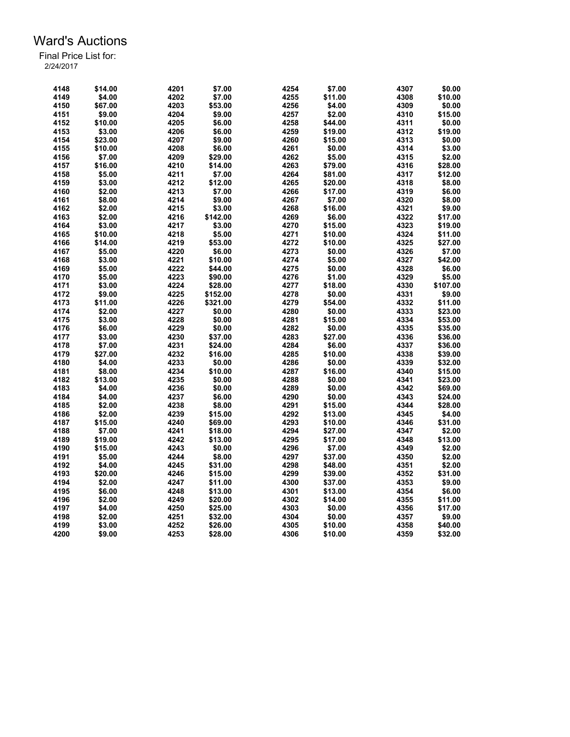| 4148 | \$14.00 | 4201 | \$7.00   | 4254 | \$7.00            | 4307 | \$0.00   |
|------|---------|------|----------|------|-------------------|------|----------|
| 4149 | \$4.00  | 4202 | \$7.00   | 4255 | \$11.00           | 4308 | \$10.00  |
| 4150 | \$67.00 | 4203 | \$53.00  | 4256 | \$4.00            | 4309 | \$0.00   |
| 4151 | \$9.00  | 4204 | \$9.00   | 4257 | \$2.00            | 4310 | \$15.00  |
| 4152 | \$10.00 | 4205 | \$6.00   | 4258 | \$44.00           | 4311 | \$0.00   |
| 4153 | \$3.00  | 4206 | \$6.00   | 4259 | \$19.00           | 4312 | \$19.00  |
| 4154 | \$23.00 | 4207 | \$9.00   | 4260 | \$15.00           | 4313 | \$0.00   |
| 4155 | \$10.00 | 4208 | \$6.00   | 4261 | \$0.00            | 4314 | \$3.00   |
| 4156 | \$7.00  | 4209 | \$29.00  | 4262 | \$5.00            | 4315 | \$2.00   |
| 4157 | \$16.00 | 4210 | \$14.00  | 4263 | \$79.00           | 4316 | \$28.00  |
| 4158 | \$5.00  | 4211 | \$7.00   | 4264 | \$81.00           | 4317 | \$12.00  |
| 4159 | \$3.00  | 4212 | \$12.00  | 4265 | \$20.00           | 4318 | \$8.00   |
| 4160 | \$2.00  | 4213 | \$7.00   | 4266 | \$17.00           | 4319 | \$6.00   |
|      |         |      |          | 4267 |                   | 4320 |          |
| 4161 | \$8.00  | 4214 | \$9.00   | 4268 | \$7.00<br>\$16.00 | 4321 | \$8.00   |
| 4162 | \$2.00  | 4215 | \$3.00   |      |                   |      | \$9.00   |
| 4163 | \$2.00  | 4216 | \$142.00 | 4269 | \$6.00            | 4322 | \$17.00  |
| 4164 | \$3.00  | 4217 | \$3.00   | 4270 | \$15.00           | 4323 | \$19.00  |
| 4165 | \$10.00 | 4218 | \$5.00   | 4271 | \$10.00           | 4324 | \$11.00  |
| 4166 | \$14.00 | 4219 | \$53.00  | 4272 | \$10.00           | 4325 | \$27.00  |
| 4167 | \$5.00  | 4220 | \$6.00   | 4273 | \$0.00            | 4326 | \$7.00   |
| 4168 | \$3.00  | 4221 | \$10.00  | 4274 | \$5.00            | 4327 | \$42.00  |
| 4169 | \$5.00  | 4222 | \$44.00  | 4275 | \$0.00            | 4328 | \$6.00   |
| 4170 | \$5.00  | 4223 | \$90.00  | 4276 | \$1.00            | 4329 | \$5.00   |
| 4171 | \$3.00  | 4224 | \$28.00  | 4277 | \$18.00           | 4330 | \$107.00 |
| 4172 | \$9.00  | 4225 | \$152.00 | 4278 | \$0.00            | 4331 | \$9.00   |
| 4173 | \$11.00 | 4226 | \$321.00 | 4279 | \$54.00           | 4332 | \$11.00  |
| 4174 | \$2.00  | 4227 | \$0.00   | 4280 | \$0.00            | 4333 | \$23.00  |
| 4175 | \$3.00  | 4228 | \$0.00   | 4281 | \$15.00           | 4334 | \$53.00  |
| 4176 | \$6.00  | 4229 | \$0.00   | 4282 | \$0.00            | 4335 | \$35.00  |
| 4177 | \$3.00  | 4230 | \$37.00  | 4283 | \$27.00           | 4336 | \$36.00  |
| 4178 | \$7.00  | 4231 | \$24.00  | 4284 | \$6.00            | 4337 | \$36.00  |
| 4179 | \$27.00 | 4232 | \$16.00  | 4285 | \$10.00           | 4338 | \$39.00  |
| 4180 | \$4.00  | 4233 | \$0.00   | 4286 | \$0.00            | 4339 | \$32.00  |
| 4181 | \$8.00  | 4234 | \$10.00  | 4287 | \$16.00           | 4340 | \$15.00  |
|      |         |      |          | 4288 | \$0.00            | 4341 |          |
| 4182 | \$13.00 | 4235 | \$0.00   |      |                   |      | \$23.00  |
| 4183 | \$4.00  | 4236 | \$0.00   | 4289 | \$0.00            | 4342 | \$69.00  |
| 4184 | \$4.00  | 4237 | \$6.00   | 4290 | \$0.00            | 4343 | \$24.00  |
| 4185 | \$2.00  | 4238 | \$8.00   | 4291 | \$15.00           | 4344 | \$28.00  |
| 4186 | \$2.00  | 4239 | \$15.00  | 4292 | \$13.00           | 4345 | \$4.00   |
| 4187 | \$15.00 | 4240 | \$69.00  | 4293 | \$10.00           | 4346 | \$31.00  |
| 4188 | \$7.00  | 4241 | \$18.00  | 4294 | \$27.00           | 4347 | \$2.00   |
| 4189 | \$19.00 | 4242 | \$13.00  | 4295 | \$17.00           | 4348 | \$13.00  |
| 4190 | \$15.00 | 4243 | \$0.00   | 4296 | \$7.00            | 4349 | \$2.00   |
| 4191 | \$5.00  | 4244 | \$8.00   | 4297 | \$37.00           | 4350 | \$2.00   |
| 4192 | \$4.00  | 4245 | \$31.00  | 4298 | \$48.00           | 4351 | \$2.00   |
| 4193 | \$20.00 | 4246 | \$15.00  | 4299 | \$39.00           | 4352 | \$31.00  |
| 4194 | \$2.00  | 4247 | \$11.00  | 4300 | \$37.00           | 4353 | \$9.00   |
| 4195 | \$6.00  | 4248 | \$13.00  | 4301 | \$13.00           | 4354 | \$6.00   |
| 4196 | \$2.00  | 4249 | \$20.00  | 4302 | \$14.00           | 4355 | \$11.00  |
| 4197 | \$4.00  | 4250 | \$25.00  | 4303 | \$0.00            | 4356 | \$17.00  |
| 4198 | \$2.00  | 4251 | \$32.00  | 4304 | \$0.00            | 4357 | \$9.00   |
| 4199 | \$3.00  | 4252 | \$26.00  | 4305 | \$10.00           | 4358 | \$40.00  |
| 4200 | \$9.00  | 4253 | \$28.00  | 4306 | \$10.00           | 4359 | \$32.00  |
|      |         |      |          |      |                   |      |          |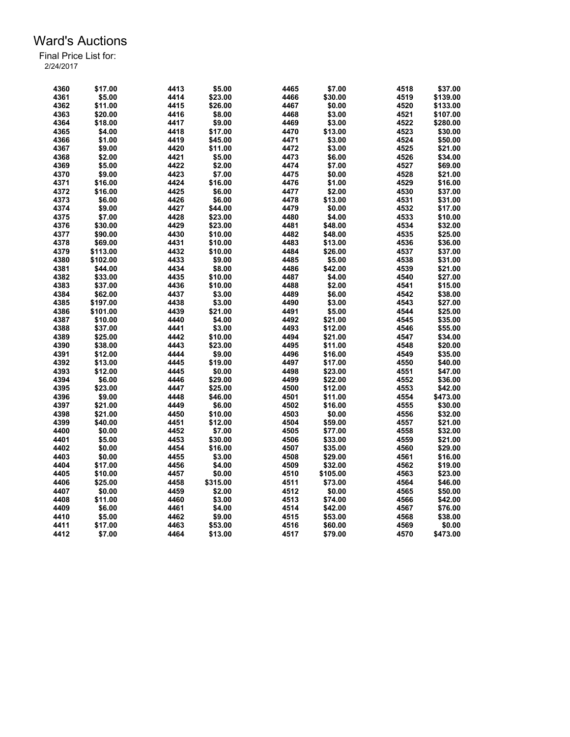| 4360 | \$17.00  | 4413 | \$5.00   | 4465 | \$7.00   | 4518 | \$37.00  |
|------|----------|------|----------|------|----------|------|----------|
| 4361 | \$5.00   | 4414 | \$23.00  | 4466 | \$30.00  | 4519 | \$139.00 |
| 4362 | \$11.00  | 4415 | \$26.00  | 4467 | \$0.00   | 4520 | \$133.00 |
| 4363 | \$20.00  | 4416 | \$8.00   | 4468 | \$3.00   | 4521 | \$107.00 |
| 4364 | \$18.00  | 4417 | \$9.00   | 4469 | \$3.00   | 4522 | \$280.00 |
| 4365 | \$4.00   | 4418 | \$17.00  | 4470 | \$13.00  | 4523 | \$30.00  |
| 4366 | \$1.00   | 4419 | \$45.00  | 4471 | \$3.00   | 4524 | \$50.00  |
| 4367 | \$9.00   | 4420 | \$11.00  | 4472 | \$3.00   | 4525 | \$21.00  |
| 4368 | \$2.00   | 4421 | \$5.00   | 4473 | \$6.00   | 4526 | \$34.00  |
| 4369 | \$5.00   | 4422 | \$2.00   | 4474 | \$7.00   | 4527 | \$69.00  |
| 4370 | \$9.00   | 4423 | \$7.00   | 4475 | \$0.00   | 4528 | \$21.00  |
| 4371 | \$16.00  | 4424 | \$16.00  | 4476 | \$1.00   | 4529 | \$16.00  |
| 4372 | \$16.00  | 4425 | \$6.00   | 4477 | \$2.00   | 4530 | \$37.00  |
| 4373 | \$6.00   | 4426 | \$6.00   | 4478 | \$13.00  | 4531 | \$31.00  |
| 4374 | \$9.00   | 4427 | \$44.00  | 4479 | \$0.00   | 4532 | \$17.00  |
| 4375 | \$7.00   | 4428 | \$23.00  | 4480 | \$4.00   | 4533 | \$10.00  |
| 4376 | \$30.00  | 4429 | \$23.00  | 4481 | \$48.00  | 4534 | \$32.00  |
| 4377 | \$90.00  | 4430 | \$10.00  | 4482 | \$48.00  | 4535 | \$25.00  |
| 4378 | \$69.00  | 4431 | \$10.00  | 4483 | \$13.00  | 4536 | \$36.00  |
|      |          | 4432 |          | 4484 |          | 4537 |          |
| 4379 | \$113.00 |      | \$10.00  |      | \$26.00  |      | \$37.00  |
| 4380 | \$102.00 | 4433 | \$9.00   | 4485 | \$5.00   | 4538 | \$31.00  |
| 4381 | \$44.00  | 4434 | \$8.00   | 4486 | \$42.00  | 4539 | \$21.00  |
| 4382 | \$33.00  | 4435 | \$10.00  | 4487 | \$4.00   | 4540 | \$27.00  |
| 4383 | \$37.00  | 4436 | \$10.00  | 4488 | \$2.00   | 4541 | \$15.00  |
| 4384 | \$62.00  | 4437 | \$3.00   | 4489 | \$6.00   | 4542 | \$38.00  |
| 4385 | \$197.00 | 4438 | \$3.00   | 4490 | \$3.00   | 4543 | \$27.00  |
| 4386 | \$101.00 | 4439 | \$21.00  | 4491 | \$5.00   | 4544 | \$25.00  |
| 4387 | \$10.00  | 4440 | \$4.00   | 4492 | \$21.00  | 4545 | \$35.00  |
| 4388 | \$37.00  | 4441 | \$3.00   | 4493 | \$12.00  | 4546 | \$55.00  |
| 4389 | \$25.00  | 4442 | \$10.00  | 4494 | \$21.00  | 4547 | \$34.00  |
| 4390 | \$38.00  | 4443 | \$23.00  | 4495 | \$11.00  | 4548 | \$20.00  |
| 4391 | \$12.00  | 4444 | \$9.00   | 4496 | \$16.00  | 4549 | \$35.00  |
| 4392 | \$13.00  | 4445 | \$19.00  | 4497 | \$17.00  | 4550 | \$40.00  |
| 4393 | \$12.00  | 4445 | \$0.00   | 4498 | \$23.00  | 4551 | \$47.00  |
| 4394 | \$6.00   | 4446 | \$29.00  | 4499 | \$22.00  | 4552 | \$36.00  |
| 4395 | \$23.00  | 4447 | \$25.00  | 4500 | \$12.00  | 4553 | \$42.00  |
| 4396 | \$9.00   | 4448 | \$46.00  | 4501 | \$11.00  | 4554 | \$473.00 |
| 4397 | \$21.00  | 4449 | \$6.00   | 4502 | \$16.00  | 4555 | \$30.00  |
| 4398 | \$21.00  | 4450 | \$10.00  | 4503 | \$0.00   | 4556 | \$32.00  |
| 4399 | \$40.00  | 4451 | \$12.00  | 4504 | \$59.00  | 4557 | \$21.00  |
| 4400 | \$0.00   | 4452 | \$7.00   | 4505 | \$77.00  | 4558 | \$32.00  |
| 4401 | \$5.00   | 4453 | \$30.00  | 4506 | \$33.00  | 4559 | \$21.00  |
| 4402 | \$0.00   | 4454 | \$16.00  | 4507 | \$35.00  | 4560 | \$29.00  |
| 4403 | \$0.00   | 4455 | \$3.00   | 4508 | \$29.00  | 4561 | \$16.00  |
| 4404 | \$17.00  | 4456 | \$4.00   | 4509 | \$32.00  | 4562 | \$19.00  |
| 4405 | \$10.00  | 4457 | \$0.00   | 4510 | \$105.00 | 4563 | \$23.00  |
| 4406 | \$25.00  | 4458 | \$315.00 | 4511 | \$73.00  | 4564 | \$46.00  |
| 4407 | \$0.00   | 4459 | \$2.00   | 4512 | \$0.00   | 4565 | \$50.00  |
| 4408 | \$11.00  | 4460 | \$3.00   | 4513 | \$74.00  | 4566 | \$42.00  |
| 4409 | \$6.00   | 4461 | \$4.00   | 4514 | \$42.00  | 4567 | \$76.00  |
| 4410 | \$5.00   | 4462 | \$9.00   | 4515 | \$53.00  | 4568 | \$38.00  |
| 4411 | \$17.00  | 4463 | \$53.00  | 4516 | \$60.00  | 4569 | \$0.00   |
| 4412 | \$7.00   | 4464 | \$13.00  | 4517 | \$79.00  | 4570 | \$473.00 |
|      |          |      |          |      |          |      |          |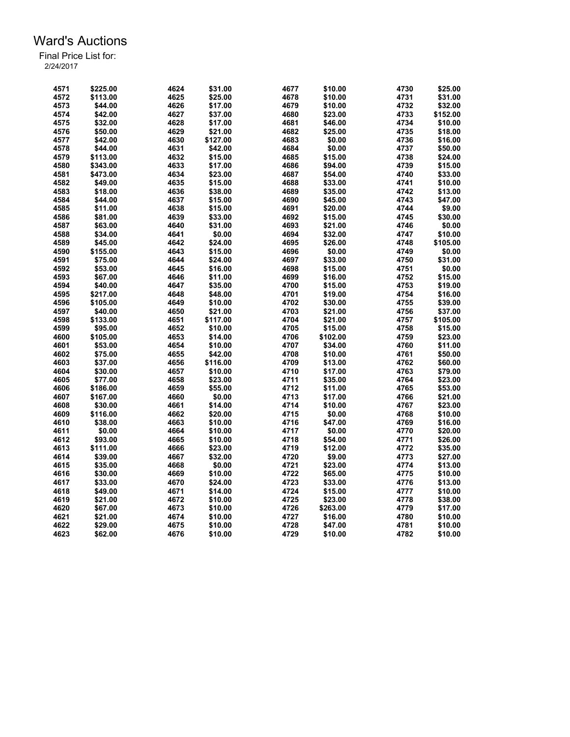| 4571 | \$225.00 | 4624 | \$31.00  | 4677 | \$10.00  | 4730 | \$25.00  |
|------|----------|------|----------|------|----------|------|----------|
| 4572 | \$113.00 | 4625 | \$25.00  | 4678 | \$10.00  | 4731 | \$31.00  |
| 4573 | \$44.00  | 4626 | \$17.00  | 4679 | \$10.00  | 4732 | \$32.00  |
| 4574 | \$42.00  | 4627 | \$37.00  | 4680 | \$23.00  | 4733 | \$152.00 |
| 4575 | \$32.00  | 4628 | \$17.00  | 4681 | \$46.00  | 4734 | \$10.00  |
| 4576 | \$50.00  | 4629 | \$21.00  | 4682 | \$25.00  | 4735 | \$18.00  |
| 4577 | \$42.00  | 4630 | \$127.00 | 4683 | \$0.00   | 4736 | \$16.00  |
| 4578 | \$44.00  | 4631 | \$42.00  | 4684 | \$0.00   | 4737 | \$50.00  |
| 4579 | \$113.00 | 4632 | \$15.00  | 4685 | \$15.00  | 4738 | \$24.00  |
| 4580 | \$343.00 | 4633 | \$17.00  | 4686 | \$94.00  | 4739 | \$15.00  |
| 4581 | \$473.00 | 4634 | \$23.00  | 4687 | \$54.00  | 4740 | \$33.00  |
| 4582 | \$49.00  | 4635 | \$15.00  | 4688 | \$33.00  | 4741 | \$10.00  |
| 4583 | \$18.00  | 4636 | \$38.00  | 4689 | \$35.00  | 4742 | \$13.00  |
| 4584 | \$44.00  | 4637 | \$15.00  | 4690 | \$45.00  | 4743 | \$47.00  |
| 4585 | \$11.00  | 4638 | \$15.00  | 4691 | \$20.00  | 4744 | \$9.00   |
| 4586 | \$81.00  | 4639 | \$33.00  | 4692 | \$15.00  | 4745 | \$30.00  |
| 4587 | \$63.00  | 4640 | \$31.00  | 4693 | \$21.00  | 4746 | \$0.00   |
| 4588 | \$34.00  | 4641 | \$0.00   | 4694 | \$32.00  | 4747 | \$10.00  |
| 4589 | \$45.00  | 4642 | \$24.00  | 4695 | \$26.00  | 4748 | \$105.00 |
|      |          |      |          |      |          |      |          |
| 4590 | \$155.00 | 4643 | \$15.00  | 4696 | \$0.00   | 4749 | \$0.00   |
| 4591 | \$75.00  | 4644 | \$24.00  | 4697 | \$33.00  | 4750 | \$31.00  |
| 4592 | \$53.00  | 4645 | \$16.00  | 4698 | \$15.00  | 4751 | \$0.00   |
| 4593 | \$67.00  | 4646 | \$11.00  | 4699 | \$16.00  | 4752 | \$15.00  |
| 4594 | \$40.00  | 4647 | \$35.00  | 4700 | \$15.00  | 4753 | \$19.00  |
| 4595 | \$217.00 | 4648 | \$48.00  | 4701 | \$19.00  | 4754 | \$16.00  |
| 4596 | \$105.00 | 4649 | \$10.00  | 4702 | \$30.00  | 4755 | \$39.00  |
| 4597 | \$40.00  | 4650 | \$21.00  | 4703 | \$21.00  | 4756 | \$37.00  |
| 4598 | \$133.00 | 4651 | \$117.00 | 4704 | \$21.00  | 4757 | \$105.00 |
| 4599 | \$95.00  | 4652 | \$10.00  | 4705 | \$15.00  | 4758 | \$15.00  |
| 4600 | \$105.00 | 4653 | \$14.00  | 4706 | \$102.00 | 4759 | \$23.00  |
| 4601 | \$53.00  | 4654 | \$10.00  | 4707 | \$34.00  | 4760 | \$11.00  |
| 4602 | \$75.00  | 4655 | \$42.00  | 4708 | \$10.00  | 4761 | \$50.00  |
| 4603 | \$37.00  | 4656 | \$116.00 | 4709 | \$13.00  | 4762 | \$60.00  |
| 4604 | \$30.00  | 4657 | \$10.00  | 4710 | \$17.00  | 4763 | \$79.00  |
| 4605 | \$77.00  | 4658 | \$23.00  | 4711 | \$35.00  | 4764 | \$23.00  |
| 4606 | \$186.00 | 4659 | \$55.00  | 4712 | \$11.00  | 4765 | \$53.00  |
| 4607 | \$167.00 | 4660 | \$0.00   | 4713 | \$17.00  | 4766 | \$21.00  |
| 4608 | \$30.00  | 4661 | \$14.00  | 4714 | \$10.00  | 4767 | \$23.00  |
| 4609 | \$116.00 | 4662 | \$20.00  | 4715 | \$0.00   | 4768 | \$10.00  |
| 4610 | \$38.00  | 4663 | \$10.00  | 4716 | \$47.00  | 4769 | \$16.00  |
| 4611 | \$0.00   | 4664 | \$10.00  | 4717 | \$0.00   | 4770 | \$20.00  |
| 4612 | \$93.00  | 4665 | \$10.00  | 4718 | \$54.00  | 4771 | \$26.00  |
| 4613 | \$111.00 | 4666 | \$23.00  | 4719 | \$12.00  | 4772 | \$35.00  |
| 4614 | \$39.00  | 4667 | \$32.00  | 4720 | \$9.00   | 4773 | \$27.00  |
| 4615 | \$35.00  | 4668 | \$0.00   | 4721 | \$23.00  | 4774 | \$13.00  |
| 4616 | \$30.00  | 4669 | \$10.00  | 4722 | \$65.00  | 4775 | \$10.00  |
| 4617 | \$33.00  | 4670 | \$24.00  | 4723 | \$33.00  | 4776 | \$13.00  |
| 4618 | \$49.00  | 4671 | \$14.00  | 4724 | \$15.00  | 4777 | \$10.00  |
| 4619 | \$21.00  | 4672 | \$10.00  | 4725 | \$23.00  | 4778 | \$38.00  |
| 4620 | \$67.00  | 4673 | \$10.00  | 4726 | \$263.00 | 4779 | \$17.00  |
| 4621 | \$21.00  | 4674 | \$10.00  | 4727 | \$16.00  | 4780 | \$10.00  |
| 4622 | \$29.00  | 4675 | \$10.00  | 4728 | \$47.00  | 4781 | \$10.00  |
| 4623 | \$62.00  | 4676 | \$10.00  | 4729 | \$10.00  | 4782 | \$10.00  |
|      |          |      |          |      |          |      |          |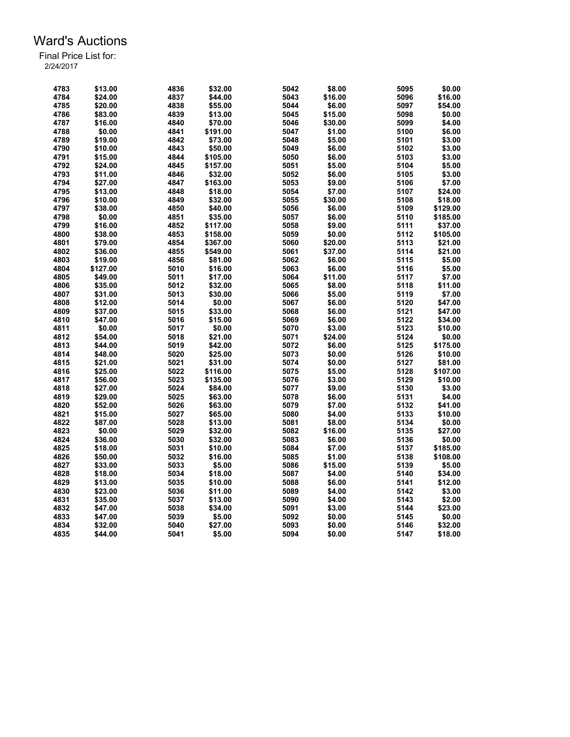| 4783 | \$13.00  | 4836 | \$32.00  | 5042         | \$8.00  | 5095 | \$0.00   |
|------|----------|------|----------|--------------|---------|------|----------|
| 4784 | \$24.00  | 4837 | \$44.00  | 5043         | \$16.00 | 5096 | \$16.00  |
| 4785 | \$20.00  | 4838 | \$55.00  | 5044         | \$6.00  | 5097 | \$54.00  |
| 4786 | \$83.00  | 4839 | \$13.00  | 5045         | \$15.00 | 5098 | \$0.00   |
| 4787 | \$16.00  | 4840 | \$70.00  | 5046         | \$30.00 | 5099 | \$4.00   |
| 4788 | \$0.00   | 4841 | \$191.00 | 5047         | \$1.00  | 5100 | \$6.00   |
| 4789 | \$19.00  | 4842 | \$73.00  | 5048         | \$5.00  | 5101 | \$3.00   |
| 4790 | \$10.00  | 4843 | \$50.00  | 5049         | \$6.00  | 5102 | \$3.00   |
| 4791 | \$15.00  | 4844 | \$105.00 | 5050         | \$6.00  | 5103 | \$3.00   |
| 4792 | \$24.00  | 4845 | \$157.00 | 5051         | \$5.00  | 5104 | \$5.00   |
| 4793 | \$11.00  | 4846 | \$32.00  | 5052         | \$6.00  | 5105 | \$3.00   |
| 4794 | \$27.00  | 4847 | \$163.00 | 5053         | \$9.00  | 5106 | \$7.00   |
| 4795 | \$13.00  | 4848 | \$18.00  | 5054         | \$7.00  | 5107 | \$24.00  |
| 4796 | \$10.00  | 4849 | \$32.00  | 5055         | \$30.00 | 5108 | \$18.00  |
| 4797 | \$38.00  | 4850 | \$40.00  | 5056         | \$6.00  | 5109 | \$129.00 |
| 4798 | \$0.00   | 4851 | \$35.00  | 5057         | \$6.00  | 5110 | \$185.00 |
| 4799 | \$16.00  | 4852 | \$117.00 | 5058         | \$9.00  | 5111 | \$37.00  |
| 4800 | \$38.00  | 4853 | \$158.00 | 5059         | \$0.00  | 5112 | \$105.00 |
|      |          |      |          | 5060         | \$20.00 |      |          |
| 4801 | \$79.00  | 4854 | \$367.00 |              |         | 5113 | \$21.00  |
| 4802 | \$36.00  | 4855 | \$549.00 | 5061<br>5062 | \$37.00 | 5114 | \$21.00  |
| 4803 | \$19.00  | 4856 | \$81.00  |              | \$6.00  | 5115 | \$5.00   |
| 4804 | \$127.00 | 5010 | \$16.00  | 5063         | \$6.00  | 5116 | \$5.00   |
| 4805 | \$49.00  | 5011 | \$17.00  | 5064         | \$11.00 | 5117 | \$7.00   |
| 4806 | \$35.00  | 5012 | \$32.00  | 5065         | \$8.00  | 5118 | \$11.00  |
| 4807 | \$31.00  | 5013 | \$30.00  | 5066         | \$5.00  | 5119 | \$7.00   |
| 4808 | \$12.00  | 5014 | \$0.00   | 5067         | \$6.00  | 5120 | \$47.00  |
| 4809 | \$37.00  | 5015 | \$33.00  | 5068         | \$6.00  | 5121 | \$47.00  |
| 4810 | \$47.00  | 5016 | \$15.00  | 5069         | \$6.00  | 5122 | \$34.00  |
| 4811 | \$0.00   | 5017 | \$0.00   | 5070         | \$3.00  | 5123 | \$10.00  |
| 4812 | \$54.00  | 5018 | \$21.00  | 5071         | \$24.00 | 5124 | \$0.00   |
| 4813 | \$44.00  | 5019 | \$42.00  | 5072         | \$6.00  | 5125 | \$175.00 |
| 4814 | \$48.00  | 5020 | \$25.00  | 5073         | \$0.00  | 5126 | \$10.00  |
| 4815 | \$21.00  | 5021 | \$31.00  | 5074         | \$0.00  | 5127 | \$81.00  |
| 4816 | \$25.00  | 5022 | \$116.00 | 5075         | \$5.00  | 5128 | \$107.00 |
| 4817 | \$56.00  | 5023 | \$135.00 | 5076         | \$3.00  | 5129 | \$10.00  |
| 4818 | \$27.00  | 5024 | \$84.00  | 5077         | \$9.00  | 5130 | \$3.00   |
| 4819 | \$29.00  | 5025 | \$63.00  | 5078         | \$6.00  | 5131 | \$4.00   |
| 4820 | \$52.00  | 5026 | \$63.00  | 5079         | \$7.00  | 5132 | \$41.00  |
| 4821 | \$15.00  | 5027 | \$65.00  | 5080         | \$4.00  | 5133 | \$10.00  |
| 4822 | \$87.00  | 5028 | \$13.00  | 5081         | \$8.00  | 5134 | \$0.00   |
| 4823 | \$0.00   | 5029 | \$32.00  | 5082         | \$16.00 | 5135 | \$27.00  |
| 4824 | \$36.00  | 5030 | \$32.00  | 5083         | \$6.00  | 5136 | \$0.00   |
| 4825 | \$18.00  | 5031 | \$10.00  | 5084         | \$7.00  | 5137 | \$185.00 |
| 4826 | \$50.00  | 5032 | \$16.00  | 5085         | \$1.00  | 5138 | \$108.00 |
| 4827 | \$33.00  | 5033 | \$5.00   | 5086         | \$15.00 | 5139 | \$5.00   |
| 4828 | \$18.00  | 5034 | \$18.00  | 5087         | \$4.00  | 5140 | \$34.00  |
| 4829 | \$13.00  | 5035 | \$10.00  | 5088         | \$6.00  | 5141 | \$12.00  |
| 4830 | \$23.00  | 5036 | \$11.00  | 5089         | \$4.00  | 5142 | \$3.00   |
| 4831 | \$35.00  | 5037 | \$13.00  | 5090         | \$4.00  | 5143 | \$2.00   |
| 4832 | \$47.00  | 5038 | \$34.00  | 5091         | \$3.00  | 5144 | \$23.00  |
| 4833 | \$47.00  | 5039 | \$5.00   | 5092         | \$0.00  | 5145 | \$0.00   |
| 4834 | \$32.00  | 5040 | \$27.00  | 5093         | \$0.00  | 5146 | \$32.00  |
| 4835 | \$44.00  | 5041 | \$5.00   | 5094         | \$0.00  | 5147 | \$18.00  |
|      |          |      |          |              |         |      |          |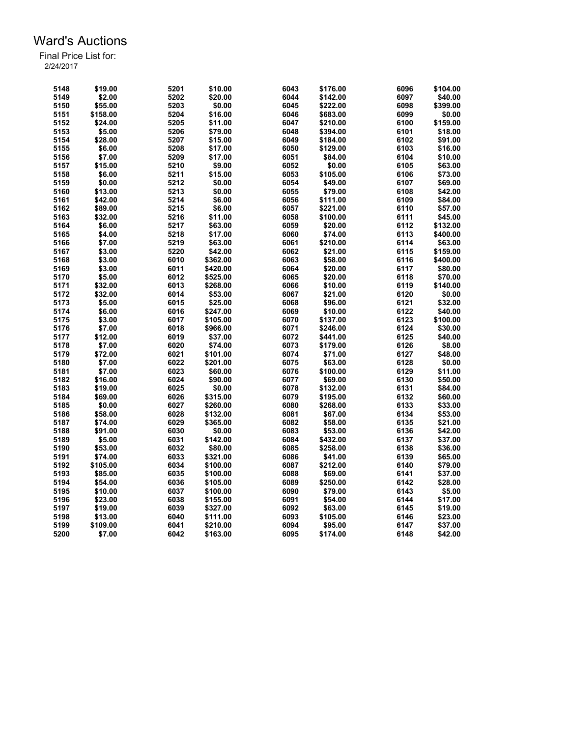| 5148 | \$19.00  | 5201 | \$10.00  | 6043 | \$176.00 | 6096 | \$104.00 |
|------|----------|------|----------|------|----------|------|----------|
| 5149 | \$2.00   | 5202 | \$20.00  | 6044 | \$142.00 | 6097 | \$40.00  |
| 5150 | \$55.00  | 5203 | \$0.00   | 6045 | \$222.00 | 6098 | \$399.00 |
| 5151 | \$158.00 | 5204 | \$16.00  | 6046 | \$683.00 | 6099 | \$0.00   |
| 5152 | \$24.00  | 5205 | \$11.00  | 6047 | \$210.00 | 6100 | \$159.00 |
| 5153 | \$5.00   | 5206 | \$79.00  | 6048 | \$394.00 | 6101 | \$18.00  |
| 5154 | \$28.00  | 5207 | \$15.00  | 6049 | \$184.00 | 6102 | \$91.00  |
| 5155 | \$6.00   | 5208 | \$17.00  | 6050 | \$129.00 | 6103 | \$16.00  |
| 5156 | \$7.00   | 5209 | \$17.00  | 6051 | \$84.00  | 6104 | \$10.00  |
| 5157 | \$15.00  | 5210 | \$9.00   | 6052 | \$0.00   | 6105 | \$63.00  |
| 5158 | \$6.00   | 5211 | \$15.00  | 6053 | \$105.00 | 6106 | \$73.00  |
| 5159 | \$0.00   | 5212 | \$0.00   | 6054 | \$49.00  | 6107 | \$69.00  |
| 5160 | \$13.00  | 5213 | \$0.00   | 6055 | \$79.00  | 6108 | \$42.00  |
| 5161 | \$42.00  | 5214 | \$6.00   | 6056 | \$111.00 | 6109 | \$84.00  |
| 5162 | \$89.00  | 5215 | \$6.00   | 6057 | \$221.00 | 6110 | \$57.00  |
| 5163 | \$32.00  | 5216 | \$11.00  | 6058 | \$100.00 | 6111 | \$45.00  |
| 5164 | \$6.00   | 5217 | \$63.00  | 6059 | \$20.00  | 6112 | \$132.00 |
| 5165 | \$4.00   | 5218 | \$17.00  | 6060 | \$74.00  | 6113 | \$400.00 |
| 5166 | \$7.00   | 5219 | \$63.00  | 6061 | \$210.00 | 6114 | \$63.00  |
|      |          |      |          |      |          |      |          |
| 5167 | \$3.00   | 5220 | \$42.00  | 6062 | \$21.00  | 6115 | \$159.00 |
| 5168 | \$3.00   | 6010 | \$362.00 | 6063 | \$58.00  | 6116 | \$400.00 |
| 5169 | \$3.00   | 6011 | \$420.00 | 6064 | \$20.00  | 6117 | \$80.00  |
| 5170 | \$5.00   | 6012 | \$525.00 | 6065 | \$20.00  | 6118 | \$70.00  |
| 5171 | \$32.00  | 6013 | \$268.00 | 6066 | \$10.00  | 6119 | \$140.00 |
| 5172 | \$32.00  | 6014 | \$53.00  | 6067 | \$21.00  | 6120 | \$0.00   |
| 5173 | \$5.00   | 6015 | \$25.00  | 6068 | \$96.00  | 6121 | \$32.00  |
| 5174 | \$6.00   | 6016 | \$247.00 | 6069 | \$10.00  | 6122 | \$40.00  |
| 5175 | \$3.00   | 6017 | \$105.00 | 6070 | \$137.00 | 6123 | \$100.00 |
| 5176 | \$7.00   | 6018 | \$966.00 | 6071 | \$246.00 | 6124 | \$30.00  |
| 5177 | \$12.00  | 6019 | \$37.00  | 6072 | \$441.00 | 6125 | \$40.00  |
| 5178 | \$7.00   | 6020 | \$74.00  | 6073 | \$179.00 | 6126 | \$8.00   |
| 5179 | \$72.00  | 6021 | \$101.00 | 6074 | \$71.00  | 6127 | \$48.00  |
| 5180 | \$7.00   | 6022 | \$201.00 | 6075 | \$63.00  | 6128 | \$0.00   |
| 5181 | \$7.00   | 6023 | \$60.00  | 6076 | \$100.00 | 6129 | \$11.00  |
| 5182 | \$16.00  | 6024 | \$90.00  | 6077 | \$69.00  | 6130 | \$50.00  |
| 5183 | \$19.00  | 6025 | \$0.00   | 6078 | \$132.00 | 6131 | \$84.00  |
| 5184 | \$69.00  | 6026 | \$315.00 | 6079 | \$195.00 | 6132 | \$60.00  |
| 5185 | \$0.00   | 6027 | \$260.00 | 6080 | \$268.00 | 6133 | \$33.00  |
| 5186 | \$58.00  | 6028 | \$132.00 | 6081 | \$67.00  | 6134 | \$53.00  |
| 5187 | \$74.00  | 6029 | \$365.00 | 6082 | \$58.00  | 6135 | \$21.00  |
| 5188 | \$91.00  | 6030 | \$0.00   | 6083 | \$53.00  | 6136 | \$42.00  |
| 5189 | \$5.00   | 6031 | \$142.00 | 6084 | \$432.00 | 6137 | \$37.00  |
| 5190 | \$53.00  | 6032 | \$80.00  | 6085 | \$258.00 | 6138 | \$36.00  |
| 5191 | \$74.00  | 6033 | \$321.00 | 6086 | \$41.00  | 6139 | \$65.00  |
| 5192 |          | 6034 |          | 6087 | \$212.00 | 6140 | \$79.00  |
|      | \$105.00 |      | \$100.00 |      |          |      |          |
| 5193 | \$85.00  | 6035 | \$100.00 | 6088 | \$69.00  | 6141 | \$37.00  |
| 5194 | \$54.00  | 6036 | \$105.00 | 6089 | \$250.00 | 6142 | \$28.00  |
| 5195 | \$10.00  | 6037 | \$100.00 | 6090 | \$79.00  | 6143 | \$5.00   |
| 5196 | \$23.00  | 6038 | \$155.00 | 6091 | \$54.00  | 6144 | \$17.00  |
| 5197 | \$19.00  | 6039 | \$327.00 | 6092 | \$63.00  | 6145 | \$19.00  |
| 5198 | \$13.00  | 6040 | \$111.00 | 6093 | \$105.00 | 6146 | \$23.00  |
| 5199 | \$109.00 | 6041 | \$210.00 | 6094 | \$95.00  | 6147 | \$37.00  |
| 5200 | \$7.00   | 6042 | \$163.00 | 6095 | \$174.00 | 6148 | \$42.00  |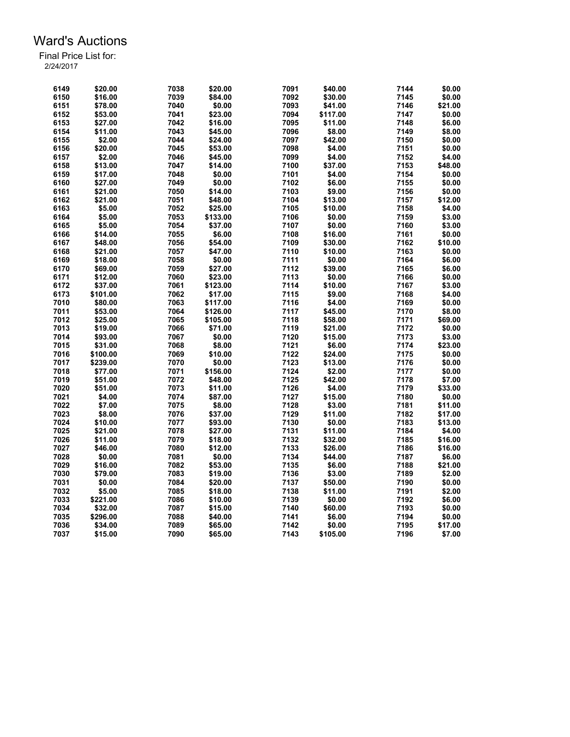| 6149 | \$20.00  | 7038 | \$20.00  | 7091 | \$40.00           | 7144 | \$0.00  |
|------|----------|------|----------|------|-------------------|------|---------|
| 6150 | \$16.00  | 7039 | \$84.00  | 7092 | \$30.00           | 7145 | \$0.00  |
| 6151 | \$78.00  | 7040 | \$0.00   | 7093 | \$41.00           | 7146 | \$21.00 |
| 6152 | \$53.00  | 7041 | \$23.00  | 7094 | \$117.00          | 7147 | \$0.00  |
| 6153 | \$27.00  | 7042 | \$16.00  | 7095 | \$11.00           | 7148 | \$6.00  |
| 6154 | \$11.00  | 7043 | \$45.00  | 7096 | \$8.00            | 7149 | \$8.00  |
| 6155 | \$2.00   | 7044 | \$24.00  | 7097 | \$42.00           | 7150 | \$0.00  |
| 6156 | \$20.00  | 7045 | \$53.00  | 7098 | \$4.00            | 7151 | \$0.00  |
| 6157 | \$2.00   | 7046 | \$45.00  | 7099 | \$4.00            | 7152 | \$4.00  |
| 6158 | \$13.00  | 7047 | \$14.00  | 7100 | \$37.00           | 7153 | \$48.00 |
| 6159 | \$17.00  | 7048 | \$0.00   | 7101 | \$4.00            | 7154 | \$0.00  |
| 6160 | \$27.00  | 7049 | \$0.00   | 7102 | \$6.00            | 7155 | \$0.00  |
| 6161 | \$21.00  | 7050 | \$14.00  | 7103 | \$9.00            | 7156 | \$0.00  |
| 6162 |          |      |          | 7104 | \$13.00           | 7157 | \$12.00 |
|      | \$21.00  | 7051 | \$48.00  |      |                   |      |         |
| 6163 | \$5.00   | 7052 | \$25.00  | 7105 | \$10.00           | 7158 | \$4.00  |
| 6164 | \$5.00   | 7053 | \$133.00 | 7106 | \$0.00            | 7159 | \$3.00  |
| 6165 | \$5.00   | 7054 | \$37.00  | 7107 | \$0.00            | 7160 | \$3.00  |
| 6166 | \$14.00  | 7055 | \$6.00   | 7108 | \$16.00           | 7161 | \$0.00  |
| 6167 | \$48.00  | 7056 | \$54.00  | 7109 | \$30.00           | 7162 | \$10.00 |
| 6168 | \$21.00  | 7057 | \$47.00  | 7110 | \$10.00           | 7163 | \$0.00  |
| 6169 | \$18.00  | 7058 | \$0.00   | 7111 | \$0.00            | 7164 | \$6.00  |
| 6170 | \$69.00  | 7059 | \$27.00  | 7112 | \$39.00           | 7165 | \$6.00  |
| 6171 | \$12.00  | 7060 | \$23.00  | 7113 | \$0.00            | 7166 | \$0.00  |
| 6172 | \$37.00  | 7061 | \$123.00 | 7114 | \$10.00           | 7167 | \$3.00  |
| 6173 | \$101.00 | 7062 | \$17.00  | 7115 | \$9.00            | 7168 | \$4.00  |
| 7010 | \$80.00  | 7063 | \$117.00 | 7116 | \$4.00            | 7169 | \$0.00  |
| 7011 | \$53.00  | 7064 | \$126.00 | 7117 | \$45.00           | 7170 | \$8.00  |
| 7012 | \$25.00  | 7065 | \$105.00 | 7118 | \$58.00           | 7171 | \$69.00 |
| 7013 | \$19.00  | 7066 | \$71.00  | 7119 | \$21.00           | 7172 | \$0.00  |
| 7014 | \$93.00  | 7067 | \$0.00   | 7120 | \$15.00           | 7173 | \$3.00  |
| 7015 | \$31.00  | 7068 | \$8.00   | 7121 | \$6.00            | 7174 | \$23.00 |
| 7016 | \$100.00 | 7069 | \$10.00  | 7122 | \$24.00           | 7175 | \$0.00  |
| 7017 | \$239.00 | 7070 | \$0.00   | 7123 | \$13.00           | 7176 | \$0.00  |
| 7018 | \$77.00  | 7071 | \$156.00 | 7124 | \$2.00            | 7177 | \$0.00  |
| 7019 | \$51.00  | 7072 | \$48.00  | 7125 | \$42.00           | 7178 | \$7.00  |
| 7020 | \$51.00  | 7073 | \$11.00  | 7126 | \$4.00            | 7179 | \$33.00 |
| 7021 | \$4.00   | 7074 | \$87.00  | 7127 | \$15.00           | 7180 | \$0.00  |
| 7022 | \$7.00   | 7075 | \$8.00   | 7128 | \$3.00            | 7181 | \$11.00 |
| 7023 | \$8.00   | 7076 | \$37.00  | 7129 | \$11.00           | 7182 | \$17.00 |
| 7024 | \$10.00  | 7077 | \$93.00  | 7130 |                   | 7183 | \$13.00 |
| 7025 |          |      |          | 7131 | \$0.00<br>\$11.00 | 7184 | \$4.00  |
| 7026 | \$21.00  | 7078 | \$27.00  |      |                   |      |         |
|      | \$11.00  | 7079 | \$18.00  | 7132 | \$32.00           | 7185 | \$16.00 |
| 7027 | \$46.00  | 7080 | \$12.00  | 7133 | \$26.00           | 7186 | \$16.00 |
| 7028 | \$0.00   | 7081 | \$0.00   | 7134 | \$44.00           | 7187 | \$6.00  |
| 7029 | \$16.00  | 7082 | \$53.00  | 7135 | \$6.00            | 7188 | \$21.00 |
| 7030 | \$79.00  | 7083 | \$19.00  | 7136 | \$3.00            | 7189 | \$2.00  |
| 7031 | \$0.00   | 7084 | \$20.00  | 7137 | \$50.00           | 7190 | \$0.00  |
| 7032 | \$5.00   | 7085 | \$18.00  | 7138 | \$11.00           | 7191 | \$2.00  |
| 7033 | \$221.00 | 7086 | \$10.00  | 7139 | \$0.00            | 7192 | \$6.00  |
| 7034 | \$32.00  | 7087 | \$15.00  | 7140 | \$60.00           | 7193 | \$0.00  |
| 7035 | \$296.00 | 7088 | \$40.00  | 7141 | \$6.00            | 7194 | \$0.00  |
| 7036 | \$34.00  | 7089 | \$65.00  | 7142 | \$0.00            | 7195 | \$17.00 |
| 7037 | \$15.00  | 7090 | \$65.00  | 7143 | \$105.00          | 7196 | \$7.00  |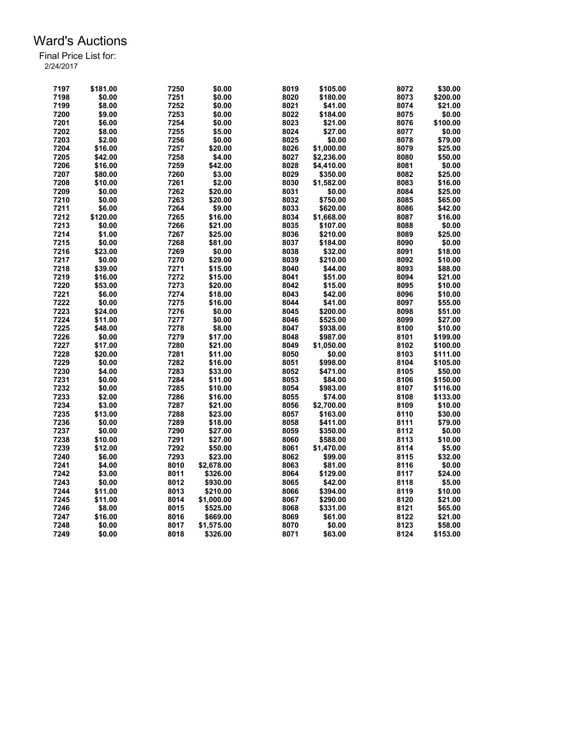| 7197 | \$181.00 | 7250 | \$0.00     | 8019 | \$105.00   | 8072         | \$30.00  |
|------|----------|------|------------|------|------------|--------------|----------|
| 7198 | \$0.00   | 7251 | \$0.00     | 8020 | \$180.00   | 8073         | \$200.00 |
| 7199 | \$8.00   | 7252 | \$0.00     | 8021 | \$41.00    | 8074         | \$21.00  |
| 7200 | \$9.00   | 7253 | \$0.00     | 8022 | \$184.00   | 8075         | \$0.00   |
| 7201 | \$6.00   | 7254 | \$0.00     | 8023 | \$21.00    | 8076         | \$100.00 |
|      |          | 7255 |            | 8024 |            |              |          |
| 7202 | \$8.00   |      | \$5.00     |      | \$27.00    | 8077<br>8078 | \$0.00   |
| 7203 | \$2.00   | 7256 | \$0.00     | 8025 | \$0.00     |              | \$79.00  |
| 7204 | \$16.00  | 7257 | \$20.00    | 8026 | \$1,000.00 | 8079         | \$25.00  |
| 7205 | \$42.00  | 7258 | \$4.00     | 8027 | \$2,236.00 | 8080         | \$50.00  |
| 7206 | \$16.00  | 7259 | \$42.00    | 8028 | \$4,410.00 | 8081         | \$0.00   |
| 7207 | \$80.00  | 7260 | \$3.00     | 8029 | \$350.00   | 8082         | \$25.00  |
| 7208 | \$10.00  | 7261 | \$2.00     | 8030 | \$1,582.00 | 8083         | \$16.00  |
| 7209 | \$0.00   | 7262 | \$20.00    | 8031 | \$0.00     | 8084         | \$25.00  |
| 7210 | \$0.00   | 7263 | \$20.00    | 8032 | \$750.00   | 8085         | \$65.00  |
| 7211 | \$6.00   | 7264 | \$9.00     | 8033 | \$620.00   | 8086         | \$42.00  |
| 7212 | \$120.00 | 7265 | \$16.00    | 8034 | \$1,668.00 | 8087         | \$16.00  |
| 7213 | \$0.00   | 7266 | \$21.00    | 8035 | \$107.00   | 8088         | \$0.00   |
| 7214 | \$1.00   | 7267 | \$25.00    | 8036 | \$210.00   | 8089         | \$25.00  |
| 7215 | \$0.00   | 7268 | \$81.00    | 8037 | \$184.00   | 8090         | \$0.00   |
| 7216 | \$23.00  | 7269 | \$0.00     | 8038 | \$32.00    | 8091         | \$18.00  |
| 7217 | \$0.00   | 7270 | \$29.00    | 8039 | \$210.00   | 8092         | \$10.00  |
| 7218 | \$39.00  | 7271 | \$15.00    | 8040 | \$44.00    | 8093         | \$88.00  |
| 7219 | \$16.00  | 7272 | \$15.00    | 8041 | \$51.00    | 8094         | \$21.00  |
| 7220 | \$53.00  | 7273 | \$20.00    | 8042 | \$15.00    | 8095         | \$10.00  |
| 7221 | \$6.00   | 7274 | \$18.00    | 8043 | \$42.00    | 8096         | \$10.00  |
| 7222 | \$0.00   | 7275 | \$16.00    | 8044 | \$41.00    | 8097         | \$55.00  |
| 7223 | \$24.00  | 7276 | \$0.00     | 8045 | \$200.00   | 8098         | \$51.00  |
| 7224 | \$11.00  | 7277 | \$0.00     | 8046 | \$525.00   | 8099         | \$27.00  |
|      |          |      |            |      |            |              |          |
| 7225 | \$48.00  | 7278 | \$8.00     | 8047 | \$938.00   | 8100         | \$10.00  |
| 7226 | \$0.00   | 7279 | \$17.00    | 8048 | \$987.00   | 8101         | \$199.00 |
| 7227 | \$17.00  | 7280 | \$21.00    | 8049 | \$1,050.00 | 8102         | \$100.00 |
| 7228 | \$20.00  | 7281 | \$11.00    | 8050 | \$0.00     | 8103         | \$111.00 |
| 7229 | \$0.00   | 7282 | \$16.00    | 8051 | \$998.00   | 8104         | \$105.00 |
| 7230 | \$4.00   | 7283 | \$33.00    | 8052 | \$471.00   | 8105         | \$50.00  |
| 7231 | \$0.00   | 7284 | \$11.00    | 8053 | \$84.00    | 8106         | \$150.00 |
| 7232 | \$0.00   | 7285 | \$10.00    | 8054 | \$983.00   | 8107         | \$116.00 |
| 7233 | \$2.00   | 7286 | \$16.00    | 8055 | \$74.00    | 8108         | \$133.00 |
| 7234 | \$3.00   | 7287 | \$21.00    | 8056 | \$2,700.00 | 8109         | \$10.00  |
| 7235 | \$13.00  | 7288 | \$23.00    | 8057 | \$163.00   | 8110         | \$30.00  |
| 7236 | \$0.00   | 7289 | \$18.00    | 8058 | \$411.00   | 8111         | \$79.00  |
| 7237 | \$0.00   | 7290 | \$27.00    | 8059 | \$350.00   | 8112         | \$0.00   |
| 7238 | \$10.00  | 7291 | \$27.00    | 8060 | \$588.00   | 8113         | \$10.00  |
| 7239 | \$12.00  | 7292 | \$50.00    | 8061 | \$1,470.00 | 8114         | \$5.00   |
| 7240 | \$6.00   | 7293 | \$23.00    | 8062 | \$99.00    | 8115         | \$32.00  |
| 7241 | \$4.00   | 8010 | \$2,678.00 | 8063 | \$81.00    | 8116         | \$0.00   |
| 7242 | \$3.00   | 8011 | \$326.00   | 8064 | \$129.00   | 8117         | \$24.00  |
| 7243 | \$0.00   | 8012 | \$930.00   | 8065 | \$42.00    | 8118         | \$5.00   |
| 7244 | \$11.00  | 8013 | \$210.00   | 8066 | \$394.00   | 8119         | \$10.00  |
| 7245 | \$11.00  | 8014 | \$1,000.00 | 8067 | \$290.00   | 8120         | \$21.00  |
| 7246 | \$8.00   | 8015 | \$525.00   | 8068 | \$331.00   | 8121         | \$65.00  |
| 7247 | \$16.00  | 8016 | \$669.00   | 8069 | \$61.00    | 8122         | \$21.00  |
| 7248 | \$0.00   | 8017 | \$1,575.00 | 8070 | \$0.00     | 8123         | \$58.00  |
| 7249 | \$0.00   | 8018 | \$326.00   | 8071 | \$63.00    | 8124         | \$153.00 |
|      |          |      |            |      |            |              |          |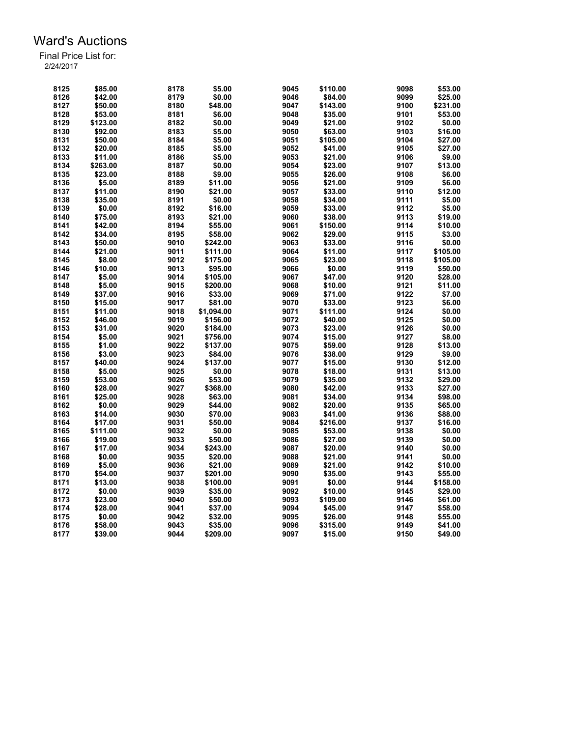| 8125 | \$85.00  | 8178 | \$5.00     | 9045 | \$110.00 | 9098 | \$53.00  |
|------|----------|------|------------|------|----------|------|----------|
| 8126 | \$42.00  | 8179 | \$0.00     | 9046 | \$84.00  | 9099 | \$25.00  |
| 8127 | \$50.00  | 8180 | \$48.00    | 9047 | \$143.00 | 9100 | \$231.00 |
| 8128 | \$53.00  | 8181 | \$6.00     | 9048 | \$35.00  | 9101 | \$53.00  |
| 8129 | \$123.00 | 8182 | \$0.00     | 9049 | \$21.00  | 9102 | \$0.00   |
| 8130 | \$92.00  | 8183 | \$5.00     | 9050 | \$63.00  | 9103 | \$16.00  |
| 8131 | \$50.00  | 8184 | \$5.00     | 9051 | \$105.00 | 9104 | \$27.00  |
| 8132 | \$20.00  | 8185 | \$5.00     | 9052 | \$41.00  | 9105 | \$27.00  |
| 8133 | \$11.00  | 8186 | \$5.00     | 9053 | \$21.00  | 9106 | \$9.00   |
| 8134 | \$263.00 | 8187 | \$0.00     | 9054 | \$23.00  | 9107 | \$13.00  |
| 8135 | \$23.00  | 8188 | \$9.00     | 9055 | \$26.00  | 9108 | \$6.00   |
| 8136 | \$5.00   | 8189 | \$11.00    | 9056 | \$21.00  | 9109 | \$6.00   |
|      |          |      |            |      |          | 9110 |          |
| 8137 | \$11.00  | 8190 | \$21.00    | 9057 | \$33.00  |      | \$12.00  |
| 8138 | \$35.00  | 8191 | \$0.00     | 9058 | \$34.00  | 9111 | \$5.00   |
| 8139 | \$0.00   | 8192 | \$16.00    | 9059 | \$33.00  | 9112 | \$5.00   |
| 8140 | \$75.00  | 8193 | \$21.00    | 9060 | \$38.00  | 9113 | \$19.00  |
| 8141 | \$42.00  | 8194 | \$55.00    | 9061 | \$150.00 | 9114 | \$10.00  |
| 8142 | \$34.00  | 8195 | \$58.00    | 9062 | \$29.00  | 9115 | \$3.00   |
| 8143 | \$50.00  | 9010 | \$242.00   | 9063 | \$33.00  | 9116 | \$0.00   |
| 8144 | \$21.00  | 9011 | \$111.00   | 9064 | \$11.00  | 9117 | \$105.00 |
| 8145 | \$8.00   | 9012 | \$175.00   | 9065 | \$23.00  | 9118 | \$105.00 |
| 8146 | \$10.00  | 9013 | \$95.00    | 9066 | \$0.00   | 9119 | \$50.00  |
| 8147 | \$5.00   | 9014 | \$105.00   | 9067 | \$47.00  | 9120 | \$28.00  |
| 8148 | \$5.00   | 9015 | \$200.00   | 9068 | \$10.00  | 9121 | \$11.00  |
| 8149 | \$37.00  | 9016 | \$33.00    | 9069 | \$71.00  | 9122 | \$7.00   |
| 8150 | \$15.00  | 9017 | \$81.00    | 9070 | \$33.00  | 9123 | \$6.00   |
| 8151 | \$11.00  | 9018 | \$1,094.00 | 9071 | \$111.00 | 9124 | \$0.00   |
| 8152 | \$46.00  | 9019 | \$156.00   | 9072 | \$40.00  | 9125 | \$0.00   |
| 8153 | \$31.00  | 9020 | \$184.00   | 9073 | \$23.00  | 9126 | \$0.00   |
| 8154 | \$5.00   | 9021 | \$756.00   | 9074 | \$15.00  | 9127 | \$8.00   |
| 8155 | \$1.00   | 9022 | \$137.00   | 9075 | \$59.00  | 9128 | \$13.00  |
| 8156 | \$3.00   | 9023 | \$84.00    | 9076 | \$38.00  | 9129 | \$9.00   |
| 8157 | \$40.00  | 9024 | \$137.00   | 9077 | \$15.00  | 9130 | \$12.00  |
| 8158 | \$5.00   | 9025 | \$0.00     | 9078 | \$18.00  | 9131 | \$13.00  |
| 8159 | \$53.00  | 9026 | \$53.00    | 9079 | \$35.00  | 9132 | \$29.00  |
| 8160 | \$28.00  | 9027 | \$368.00   | 9080 | \$42.00  | 9133 | \$27.00  |
| 8161 | \$25.00  | 9028 | \$63.00    | 9081 | \$34.00  | 9134 | \$98.00  |
| 8162 | \$0.00   | 9029 |            | 9082 | \$20.00  |      | \$65.00  |
|      |          |      | \$44.00    |      |          | 9135 |          |
| 8163 | \$14.00  | 9030 | \$70.00    | 9083 | \$41.00  | 9136 | \$88.00  |
| 8164 | \$17.00  | 9031 | \$50.00    | 9084 | \$216.00 | 9137 | \$16.00  |
| 8165 | \$111.00 | 9032 | \$0.00     | 9085 | \$53.00  | 9138 | \$0.00   |
| 8166 | \$19.00  | 9033 | \$50.00    | 9086 | \$27.00  | 9139 | \$0.00   |
| 8167 | \$17.00  | 9034 | \$243.00   | 9087 | \$20.00  | 9140 | \$0.00   |
| 8168 | \$0.00   | 9035 | \$20.00    | 9088 | \$21.00  | 9141 | \$0.00   |
| 8169 | \$5.00   | 9036 | \$21.00    | 9089 | \$21.00  | 9142 | \$10.00  |
| 8170 | \$54.00  | 9037 | \$201.00   | 9090 | \$35.00  | 9143 | \$55.00  |
| 8171 | \$13.00  | 9038 | \$100.00   | 9091 | \$0.00   | 9144 | \$158.00 |
| 8172 | \$0.00   | 9039 | \$35.00    | 9092 | \$10.00  | 9145 | \$29.00  |
| 8173 | \$23.00  | 9040 | \$50.00    | 9093 | \$109.00 | 9146 | \$61.00  |
| 8174 | \$28.00  | 9041 | \$37.00    | 9094 | \$45.00  | 9147 | \$58.00  |
| 8175 | \$0.00   | 9042 | \$32.00    | 9095 | \$26.00  | 9148 | \$55.00  |
| 8176 | \$58.00  | 9043 | \$35.00    | 9096 | \$315.00 | 9149 | \$41.00  |
| 8177 | \$39.00  | 9044 | \$209.00   | 9097 | \$15.00  | 9150 | \$49.00  |
|      |          |      |            |      |          |      |          |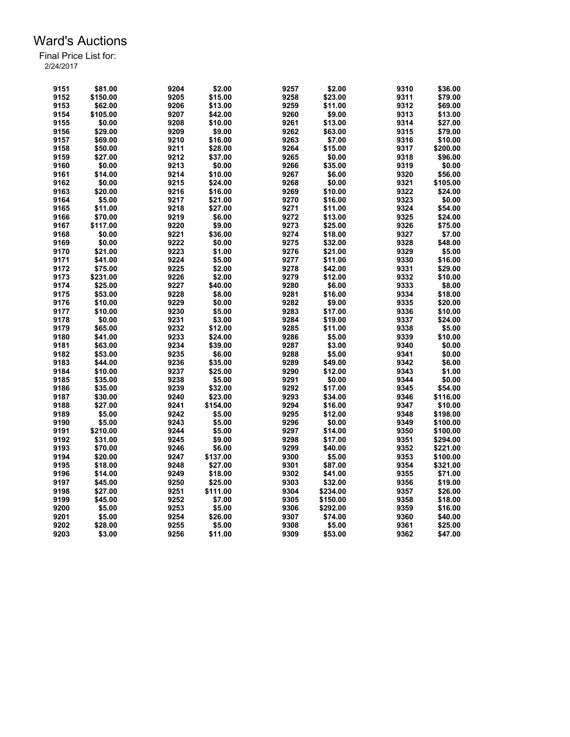| 9151 | \$81.00  | 9204         | \$2.00           | 9257 | \$2.00   | 9310 | \$36.00           |
|------|----------|--------------|------------------|------|----------|------|-------------------|
| 9152 | \$150.00 | 9205         | \$15.00          | 9258 | \$23.00  | 9311 | \$79.00           |
| 9153 | \$62.00  | 9206         | \$13.00          | 9259 | \$11.00  | 9312 | \$69.00           |
| 9154 | \$105.00 | 9207         | \$42.00          | 9260 | \$9.00   | 9313 | \$13.00           |
| 9155 | \$0.00   | 9208         | \$10.00          | 9261 | \$13.00  | 9314 | \$27.00           |
| 9156 | \$29.00  | 9209         | \$9.00           | 9262 | \$63.00  | 9315 | \$79.00           |
| 9157 | \$69.00  | 9210         | \$16.00          | 9263 | \$7.00   | 9316 | \$10.00           |
| 9158 | \$50.00  | 9211         | \$28.00          | 9264 | \$15.00  | 9317 | \$200.00          |
| 9159 | \$27.00  | 9212         | \$37.00          | 9265 | \$0.00   | 9318 | \$96.00           |
| 9160 | \$0.00   | 9213         | \$0.00           | 9266 | \$35.00  | 9319 | \$0.00            |
| 9161 | \$14.00  | 9214         | \$10.00          | 9267 | \$6.00   | 9320 | \$56.00           |
| 9162 | \$0.00   | 9215         | \$24.00          | 9268 | \$0.00   | 9321 | \$105.00          |
| 9163 | \$20.00  | 9216         | \$16.00          | 9269 | \$10.00  | 9322 | \$24.00           |
| 9164 | \$5.00   | 9217         | \$21.00          | 9270 | \$16.00  | 9323 | \$0.00            |
| 9165 | \$11.00  | 9218         | \$27.00          | 9271 | \$11.00  | 9324 | \$54.00           |
| 9166 | \$70.00  | 9219         | \$6.00           | 9272 | \$13.00  | 9325 | \$24.00           |
| 9167 | \$117.00 | 9220         | \$9.00           | 9273 | \$25.00  | 9326 | \$75.00           |
| 9168 | \$0.00   | 9221         | \$36.00          | 9274 | \$18.00  | 9327 | \$7.00            |
|      | \$0.00   |              |                  | 9275 |          | 9328 |                   |
| 9169 |          | 9222<br>9223 | \$0.00<br>\$1.00 | 9276 | \$32.00  | 9329 | \$48.00<br>\$5.00 |
| 9170 | \$21.00  |              |                  |      | \$21.00  |      |                   |
| 9171 | \$41.00  | 9224         | \$5.00           | 9277 | \$11.00  | 9330 | \$16.00           |
| 9172 | \$75.00  | 9225         | \$2.00           | 9278 | \$42.00  | 9331 | \$29.00           |
| 9173 | \$231.00 | 9226         | \$2.00           | 9279 | \$12.00  | 9332 | \$10.00           |
| 9174 | \$25.00  | 9227         | \$40.00          | 9280 | \$6.00   | 9333 | \$8.00            |
| 9175 | \$53.00  | 9228         | \$8.00           | 9281 | \$16.00  | 9334 | \$18.00           |
| 9176 | \$10.00  | 9229         | \$0.00           | 9282 | \$9.00   | 9335 | \$20.00           |
| 9177 | \$10.00  | 9230         | \$5.00           | 9283 | \$17.00  | 9336 | \$10.00           |
| 9178 | \$0.00   | 9231         | \$3.00           | 9284 | \$19.00  | 9337 | \$24.00           |
| 9179 | \$65.00  | 9232         | \$12.00          | 9285 | \$11.00  | 9338 | \$5.00            |
| 9180 | \$41.00  | 9233         | \$24.00          | 9286 | \$5.00   | 9339 | \$10.00           |
| 9181 | \$63.00  | 9234         | \$39.00          | 9287 | \$3.00   | 9340 | \$0.00            |
| 9182 | \$53.00  | 9235         | \$6.00           | 9288 | \$5.00   | 9341 | \$0.00            |
| 9183 | \$44.00  | 9236         | \$35.00          | 9289 | \$49.00  | 9342 | \$6.00            |
| 9184 | \$10.00  | 9237         | \$25.00          | 9290 | \$12.00  | 9343 | \$1.00            |
| 9185 | \$35.00  | 9238         | \$5.00           | 9291 | \$0.00   | 9344 | \$0.00            |
| 9186 | \$35.00  | 9239         | \$32.00          | 9292 | \$17.00  | 9345 | \$54.00           |
| 9187 | \$30.00  | 9240         | \$23.00          | 9293 | \$34.00  | 9346 | \$116.00          |
| 9188 | \$27.00  | 9241         | \$154.00         | 9294 | \$16.00  | 9347 | \$10.00           |
| 9189 | \$5.00   | 9242         | \$5.00           | 9295 | \$12.00  | 9348 | \$198.00          |
| 9190 | \$5.00   | 9243         | \$5.00           | 9296 | \$0.00   | 9349 | \$100.00          |
| 9191 | \$210.00 | 9244         | \$5.00           | 9297 | \$14.00  | 9350 | \$100.00          |
| 9192 | \$31.00  | 9245         | \$9.00           | 9298 | \$17.00  | 9351 | \$294.00          |
| 9193 | \$70.00  | 9246         | \$6.00           | 9299 | \$40.00  | 9352 | \$221.00          |
| 9194 | \$20.00  | 9247         | \$137.00         | 9300 |          | 9353 | \$100.00          |
|      |          |              |                  | 9301 | \$5.00   |      |                   |
| 9195 | \$18.00  | 9248         | \$27.00          |      | \$87.00  | 9354 | \$321.00          |
| 9196 | \$14.00  | 9249         | \$18.00          | 9302 | \$41.00  | 9355 | \$71.00           |
| 9197 | \$45.00  | 9250         | \$25.00          | 9303 | \$32.00  | 9356 | \$19.00           |
| 9198 | \$27.00  | 9251         | \$111.00         | 9304 | \$234.00 | 9357 | \$26.00           |
| 9199 | \$45.00  | 9252         | \$7.00           | 9305 | \$150.00 | 9358 | \$18.00           |
| 9200 | \$5.00   | 9253         | \$5.00           | 9306 | \$292.00 | 9359 | \$16.00           |
| 9201 | \$5.00   | 9254         | \$26.00          | 9307 | \$74.00  | 9360 | \$40.00           |
| 9202 | \$28.00  | 9255         | \$5.00           | 9308 | \$5.00   | 9361 | \$25.00           |
| 9203 | \$3.00   | 9256         | \$11.00          | 9309 | \$53.00  | 9362 | \$47.00           |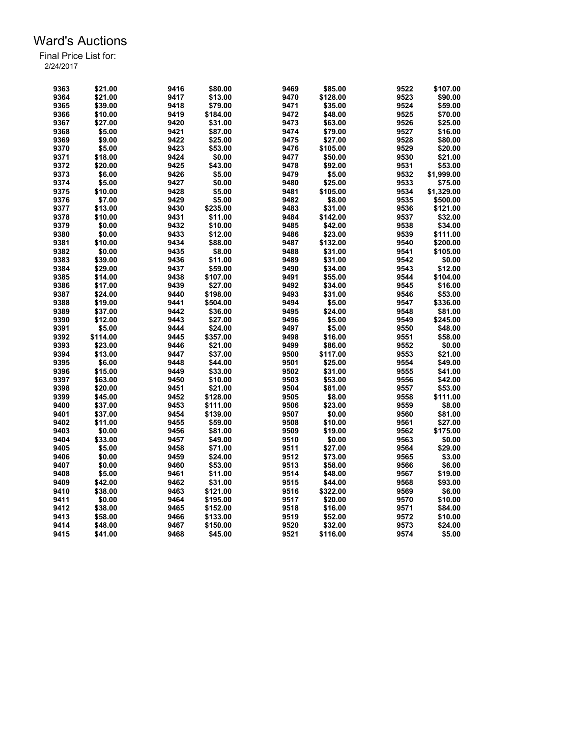| 9363 | \$21.00  | 9416 | \$80.00  | 9469 | \$85.00  | 9522 | \$107.00   |
|------|----------|------|----------|------|----------|------|------------|
| 9364 | \$21.00  | 9417 | \$13.00  | 9470 | \$128.00 | 9523 | \$90.00    |
| 9365 | \$39.00  | 9418 | \$79.00  | 9471 | \$35.00  | 9524 | \$59.00    |
| 9366 | \$10.00  | 9419 | \$184.00 | 9472 | \$48.00  | 9525 | \$70.00    |
| 9367 | \$27.00  | 9420 | \$31.00  | 9473 | \$63.00  | 9526 | \$25.00    |
| 9368 | \$5.00   | 9421 | \$87.00  | 9474 | \$79.00  | 9527 | \$16.00    |
| 9369 | \$9.00   | 9422 | \$25.00  | 9475 | \$27.00  | 9528 | \$80.00    |
| 9370 | \$5.00   | 9423 | \$53.00  | 9476 | \$105.00 | 9529 | \$20.00    |
| 9371 | \$18.00  | 9424 | \$0.00   | 9477 | \$50.00  | 9530 | \$21.00    |
| 9372 | \$20.00  | 9425 | \$43.00  | 9478 | \$92.00  | 9531 | \$53.00    |
| 9373 | \$6.00   | 9426 | \$5.00   | 9479 | \$5.00   | 9532 | \$1,999.00 |
| 9374 | \$5.00   | 9427 | \$0.00   | 9480 | \$25.00  | 9533 | \$75.00    |
| 9375 | \$10.00  | 9428 | \$5.00   | 9481 | \$105.00 | 9534 | \$1,329.00 |
| 9376 | \$7.00   | 9429 | \$5.00   | 9482 | \$8.00   | 9535 | \$500.00   |
| 9377 | \$13.00  | 9430 | \$235.00 | 9483 | \$31.00  | 9536 | \$121.00   |
| 9378 | \$10.00  | 9431 | \$11.00  | 9484 | \$142.00 | 9537 | \$32.00    |
| 9379 | \$0.00   | 9432 | \$10.00  | 9485 | \$42.00  | 9538 | \$34.00    |
| 9380 | \$0.00   | 9433 | \$12.00  | 9486 | \$23.00  | 9539 | \$111.00   |
| 9381 | \$10.00  | 9434 | \$88.00  | 9487 | \$132.00 | 9540 | \$200.00   |
| 9382 | \$0.00   | 9435 | \$8.00   | 9488 | \$31.00  | 9541 | \$105.00   |
| 9383 | \$39.00  | 9436 | \$11.00  | 9489 | \$31.00  | 9542 | \$0.00     |
| 9384 | \$29.00  | 9437 | \$59.00  | 9490 | \$34.00  | 9543 | \$12.00    |
|      |          |      |          |      |          |      |            |
| 9385 | \$14.00  | 9438 | \$107.00 | 9491 | \$55.00  | 9544 | \$104.00   |
| 9386 | \$17.00  | 9439 | \$27.00  | 9492 | \$34.00  | 9545 | \$16.00    |
| 9387 | \$24.00  | 9440 | \$198.00 | 9493 | \$31.00  | 9546 | \$53.00    |
| 9388 | \$19.00  | 9441 | \$504.00 | 9494 | \$5.00   | 9547 | \$336.00   |
| 9389 | \$37.00  | 9442 | \$36.00  | 9495 | \$24.00  | 9548 | \$81.00    |
| 9390 | \$12.00  | 9443 | \$27.00  | 9496 | \$5.00   | 9549 | \$245.00   |
| 9391 | \$5.00   | 9444 | \$24.00  | 9497 | \$5.00   | 9550 | \$48.00    |
| 9392 | \$114.00 | 9445 | \$357.00 | 9498 | \$16.00  | 9551 | \$58.00    |
| 9393 | \$23.00  | 9446 | \$21.00  | 9499 | \$86.00  | 9552 | \$0.00     |
| 9394 | \$13.00  | 9447 | \$37.00  | 9500 | \$117.00 | 9553 | \$21.00    |
| 9395 | \$6.00   | 9448 | \$44.00  | 9501 | \$25.00  | 9554 | \$49.00    |
| 9396 | \$15.00  | 9449 | \$33.00  | 9502 | \$31.00  | 9555 | \$41.00    |
| 9397 | \$63.00  | 9450 | \$10.00  | 9503 | \$53.00  | 9556 | \$42.00    |
| 9398 | \$20.00  | 9451 | \$21.00  | 9504 | \$81.00  | 9557 | \$53.00    |
| 9399 | \$45.00  | 9452 | \$128.00 | 9505 | \$8.00   | 9558 | \$111.00   |
| 9400 | \$37.00  | 9453 | \$111.00 | 9506 | \$23.00  | 9559 | \$8.00     |
| 9401 | \$37.00  | 9454 | \$139.00 | 9507 | \$0.00   | 9560 | \$81.00    |
| 9402 | \$11.00  | 9455 | \$59.00  | 9508 | \$10.00  | 9561 | \$27.00    |
| 9403 | \$0.00   | 9456 | \$81.00  | 9509 | \$19.00  | 9562 | \$175.00   |
| 9404 | \$33.00  | 9457 | \$49.00  | 9510 | \$0.00   | 9563 | \$0.00     |
| 9405 | \$5.00   | 9458 | \$71.00  | 9511 | \$27.00  | 9564 | \$29.00    |
| 9406 | \$0.00   | 9459 | \$24.00  | 9512 | \$73.00  | 9565 | \$3.00     |
| 9407 | \$0.00   | 9460 | \$53.00  | 9513 | \$58.00  | 9566 | \$6.00     |
| 9408 | \$5.00   | 9461 | \$11.00  | 9514 | \$48.00  | 9567 | \$19.00    |
| 9409 | \$42.00  | 9462 | \$31.00  | 9515 | \$44.00  | 9568 | \$93.00    |
| 9410 | \$38.00  | 9463 | \$121.00 | 9516 | \$322.00 | 9569 | \$6.00     |
| 9411 | \$0.00   | 9464 | \$195.00 | 9517 | \$20.00  | 9570 | \$10.00    |
| 9412 | \$38.00  | 9465 | \$152.00 | 9518 | \$16.00  | 9571 | \$84.00    |
| 9413 | \$58.00  | 9466 | \$133.00 | 9519 | \$52.00  | 9572 | \$10.00    |
| 9414 | \$48.00  | 9467 | \$150.00 | 9520 | \$32.00  | 9573 | \$24.00    |
| 9415 | \$41.00  | 9468 | \$45.00  | 9521 | \$116.00 | 9574 | \$5.00     |
|      |          |      |          |      |          |      |            |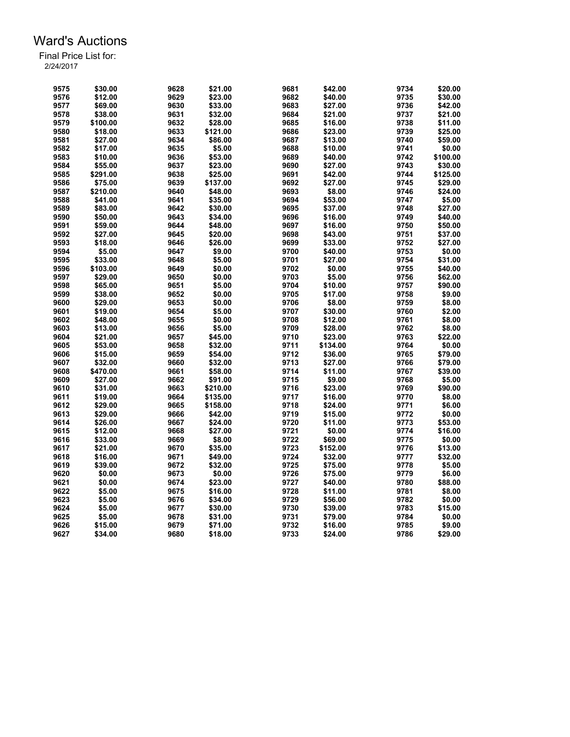| 9575 | \$30.00  | 9628 | \$21.00  | 9681 | \$42.00  | 9734 | \$20.00  |
|------|----------|------|----------|------|----------|------|----------|
| 9576 | \$12.00  | 9629 | \$23.00  | 9682 | \$40.00  | 9735 | \$30.00  |
| 9577 | \$69.00  | 9630 | \$33.00  | 9683 | \$27.00  | 9736 | \$42.00  |
| 9578 | \$38.00  | 9631 | \$32.00  | 9684 | \$21.00  | 9737 | \$21.00  |
| 9579 | \$100.00 | 9632 | \$28.00  | 9685 | \$16.00  | 9738 | \$11.00  |
| 9580 | \$18.00  | 9633 | \$121.00 | 9686 | \$23.00  | 9739 | \$25.00  |
| 9581 | \$27.00  | 9634 | \$86.00  | 9687 | \$13.00  | 9740 | \$59.00  |
| 9582 | \$17.00  | 9635 | \$5.00   | 9688 | \$10.00  | 9741 | \$0.00   |
| 9583 | \$10.00  | 9636 | \$53.00  | 9689 | \$40.00  | 9742 | \$100.00 |
| 9584 | \$55.00  | 9637 | \$23.00  | 9690 | \$27.00  | 9743 | \$30.00  |
| 9585 | \$291.00 | 9638 | \$25.00  | 9691 | \$42.00  | 9744 | \$125.00 |
| 9586 | \$75.00  | 9639 | \$137.00 | 9692 | \$27.00  | 9745 | \$29.00  |
| 9587 | \$210.00 | 9640 | \$48.00  | 9693 | \$8.00   | 9746 | \$24.00  |
| 9588 | \$41.00  | 9641 | \$35.00  | 9694 | \$53.00  | 9747 | \$5.00   |
| 9589 | \$83.00  | 9642 | \$30.00  | 9695 | \$37.00  | 9748 | \$27.00  |
| 9590 | \$50.00  | 9643 | \$34.00  | 9696 | \$16.00  | 9749 | \$40.00  |
| 9591 | \$59.00  | 9644 | \$48.00  | 9697 | \$16.00  | 9750 | \$50.00  |
| 9592 | \$27.00  | 9645 | \$20.00  | 9698 | \$43.00  | 9751 | \$37.00  |
|      |          |      |          |      |          |      |          |
| 9593 | \$18.00  | 9646 | \$26.00  | 9699 | \$33.00  | 9752 | \$27.00  |
| 9594 | \$5.00   | 9647 | \$9.00   | 9700 | \$40.00  | 9753 | \$0.00   |
| 9595 | \$33.00  | 9648 | \$5.00   | 9701 | \$27.00  | 9754 | \$31.00  |
| 9596 | \$103.00 | 9649 | \$0.00   | 9702 | \$0.00   | 9755 | \$40.00  |
| 9597 | \$29.00  | 9650 | \$0.00   | 9703 | \$5.00   | 9756 | \$62.00  |
| 9598 | \$65.00  | 9651 | \$5.00   | 9704 | \$10.00  | 9757 | \$90.00  |
| 9599 | \$38.00  | 9652 | \$0.00   | 9705 | \$17.00  | 9758 | \$9.00   |
| 9600 | \$29.00  | 9653 | \$0.00   | 9706 | \$8.00   | 9759 | \$8.00   |
| 9601 | \$19.00  | 9654 | \$5.00   | 9707 | \$30.00  | 9760 | \$2.00   |
| 9602 | \$48.00  | 9655 | \$0.00   | 9708 | \$12.00  | 9761 | \$8.00   |
| 9603 | \$13.00  | 9656 | \$5.00   | 9709 | \$28.00  | 9762 | \$8.00   |
| 9604 | \$21.00  | 9657 | \$45.00  | 9710 | \$23.00  | 9763 | \$22.00  |
| 9605 | \$53.00  | 9658 | \$32.00  | 9711 | \$134.00 | 9764 | \$0.00   |
| 9606 | \$15.00  | 9659 | \$54.00  | 9712 | \$36.00  | 9765 | \$79.00  |
| 9607 | \$32.00  | 9660 | \$32.00  | 9713 | \$27.00  | 9766 | \$79.00  |
| 9608 | \$470.00 | 9661 | \$58.00  | 9714 | \$11.00  | 9767 | \$39.00  |
| 9609 | \$27.00  | 9662 | \$91.00  | 9715 | \$9.00   | 9768 | \$5.00   |
| 9610 | \$31.00  | 9663 | \$210.00 | 9716 | \$23.00  | 9769 | \$90.00  |
| 9611 | \$19.00  | 9664 | \$135.00 | 9717 | \$16.00  | 9770 | \$8.00   |
| 9612 | \$29.00  | 9665 | \$158.00 | 9718 | \$24.00  | 9771 | \$6.00   |
| 9613 | \$29.00  | 9666 | \$42.00  | 9719 | \$15.00  | 9772 | \$0.00   |
| 9614 | \$26.00  | 9667 | \$24.00  | 9720 | \$11.00  | 9773 | \$53.00  |
| 9615 | \$12.00  | 9668 | \$27.00  | 9721 | \$0.00   | 9774 | \$16.00  |
| 9616 | \$33.00  | 9669 | \$8.00   | 9722 | \$69.00  | 9775 | \$0.00   |
| 9617 | \$21.00  | 9670 | \$35.00  | 9723 | \$152.00 | 9776 | \$13.00  |
| 9618 | \$16.00  | 9671 | \$49.00  | 9724 | \$32.00  | 9777 | \$32.00  |
| 9619 | \$39.00  | 9672 | \$32.00  | 9725 | \$75.00  | 9778 | \$5.00   |
| 9620 | \$0.00   | 9673 | \$0.00   | 9726 | \$75.00  | 9779 | \$6.00   |
| 9621 | \$0.00   | 9674 | \$23.00  | 9727 | \$40.00  | 9780 | \$88.00  |
| 9622 | \$5.00   | 9675 | \$16.00  | 9728 | \$11.00  | 9781 | \$8.00   |
| 9623 | \$5.00   | 9676 | \$34.00  | 9729 | \$56.00  | 9782 | \$0.00   |
| 9624 | \$5.00   | 9677 | \$30.00  | 9730 | \$39.00  | 9783 | \$15.00  |
| 9625 | \$5.00   | 9678 | \$31.00  | 9731 | \$79.00  | 9784 | \$0.00   |
| 9626 | \$15.00  | 9679 | \$71.00  | 9732 | \$16.00  | 9785 | \$9.00   |
| 9627 | \$34.00  | 9680 | \$18.00  | 9733 | \$24.00  | 9786 | \$29.00  |
|      |          |      |          |      |          |      |          |